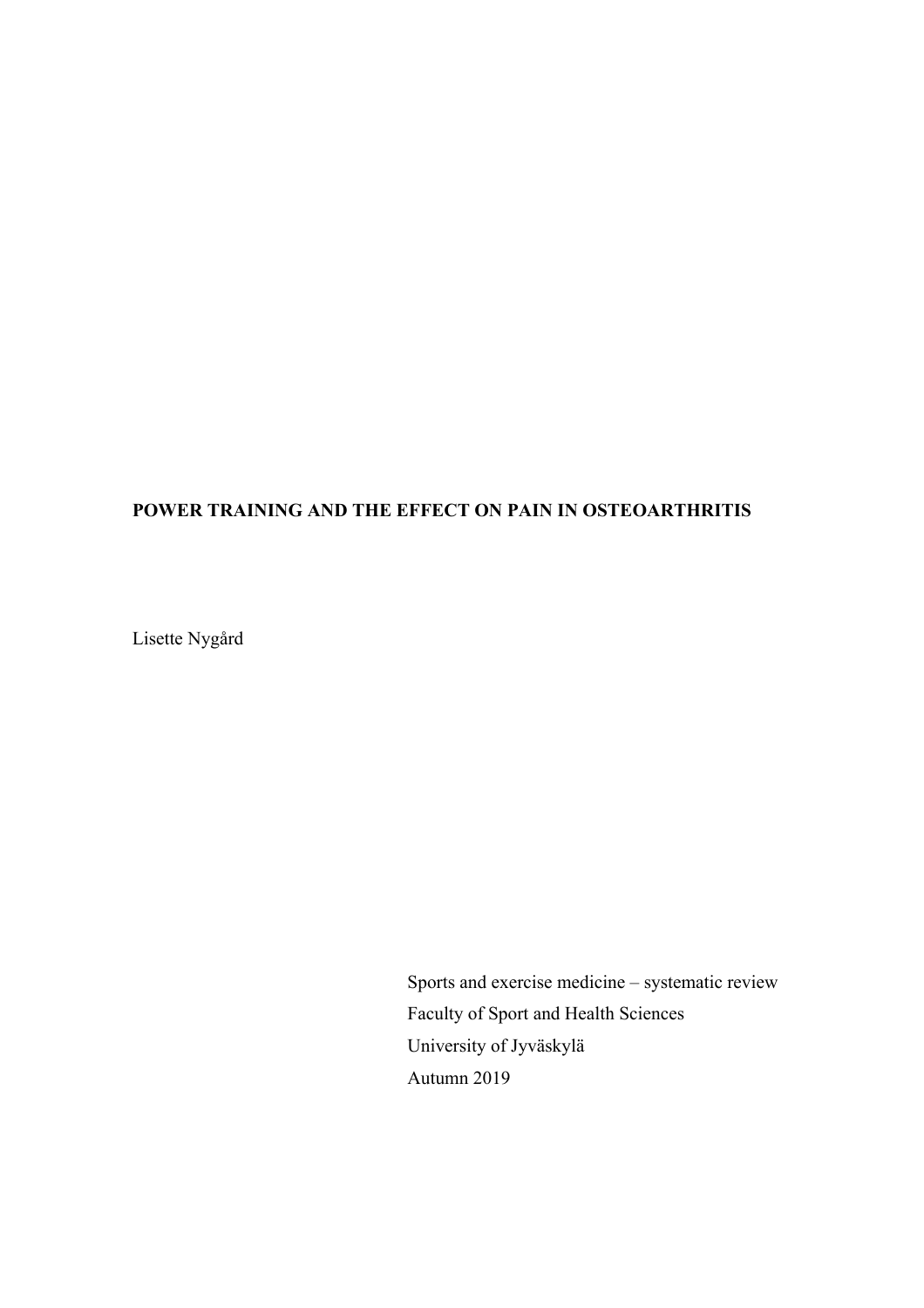## **POWER TRAINING AND THE EFFECT ON PAIN IN OSTEOARTHRITIS**

Lisette Nygård

Sports and exercise medicine – systematic review Faculty of Sport and Health Sciences University of Jyväskylä Autumn 2019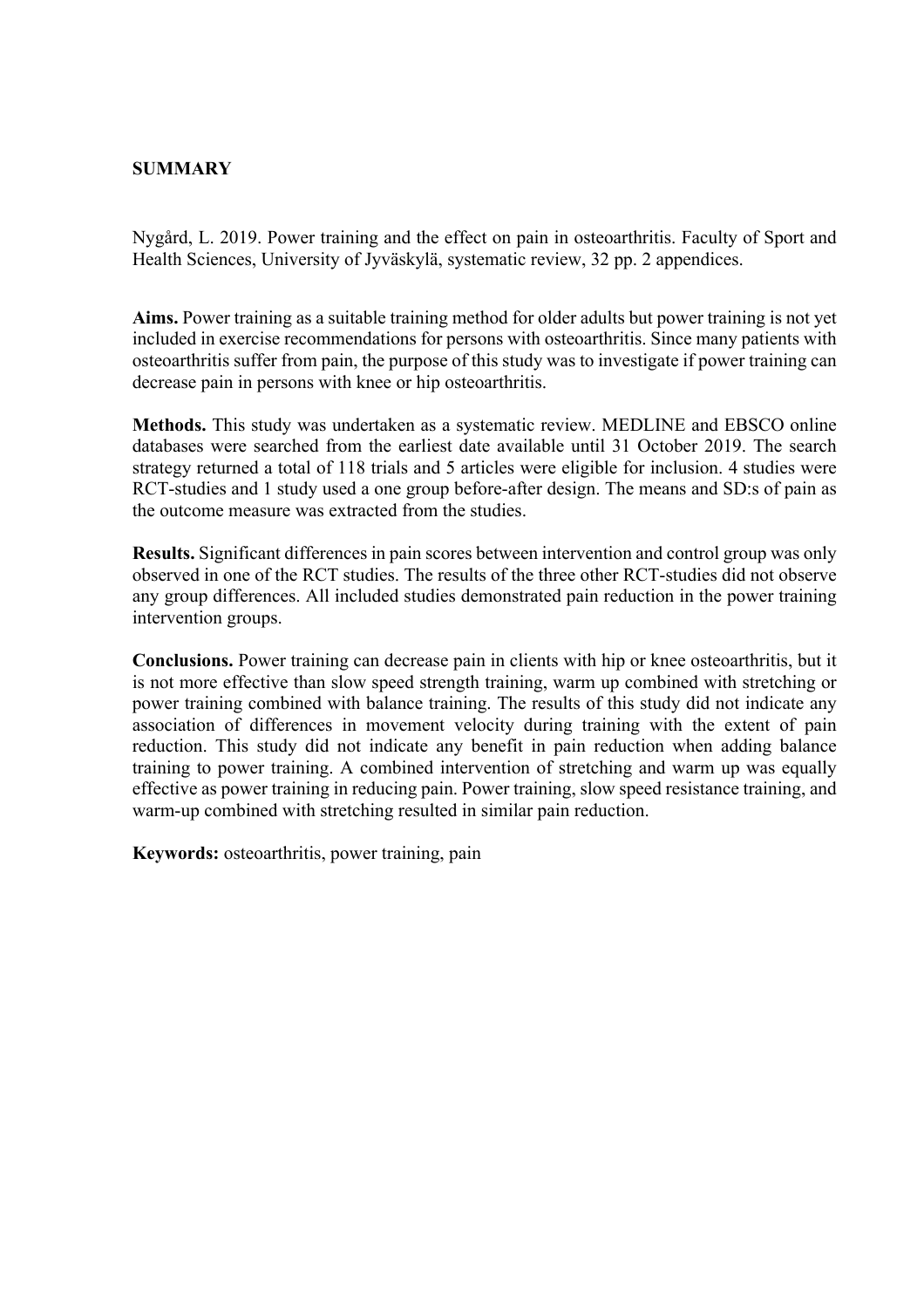### **SUMMARY**

Nygård, L. 2019. Power training and the effect on pain in osteoarthritis. Faculty of Sport and Health Sciences, University of Jyväskylä, systematic review, 32 pp. 2 appendices.

**Aims.** Power training as a suitable training method for older adults but power training is not yet included in exercise recommendations for persons with osteoarthritis. Since many patients with osteoarthritis suffer from pain, the purpose of this study was to investigate if power training can decrease pain in persons with knee or hip osteoarthritis.

**Methods.** This study was undertaken as a systematic review. MEDLINE and EBSCO online databases were searched from the earliest date available until 31 October 2019. The search strategy returned a total of 118 trials and 5 articles were eligible for inclusion. 4 studies were RCT-studies and 1 study used a one group before-after design. The means and SD:s of pain as the outcome measure was extracted from the studies.

**Results.** Significant differences in pain scores between intervention and control group was only observed in one of the RCT studies. The results of the three other RCT-studies did not observe any group differences. All included studies demonstrated pain reduction in the power training intervention groups.

**Conclusions.** Power training can decrease pain in clients with hip or knee osteoarthritis, but it is not more effective than slow speed strength training, warm up combined with stretching or power training combined with balance training. The results of this study did not indicate any association of differences in movement velocity during training with the extent of pain reduction. This study did not indicate any benefit in pain reduction when adding balance training to power training. A combined intervention of stretching and warm up was equally effective as power training in reducing pain. Power training, slow speed resistance training, and warm-up combined with stretching resulted in similar pain reduction.

**Keywords:** osteoarthritis, power training, pain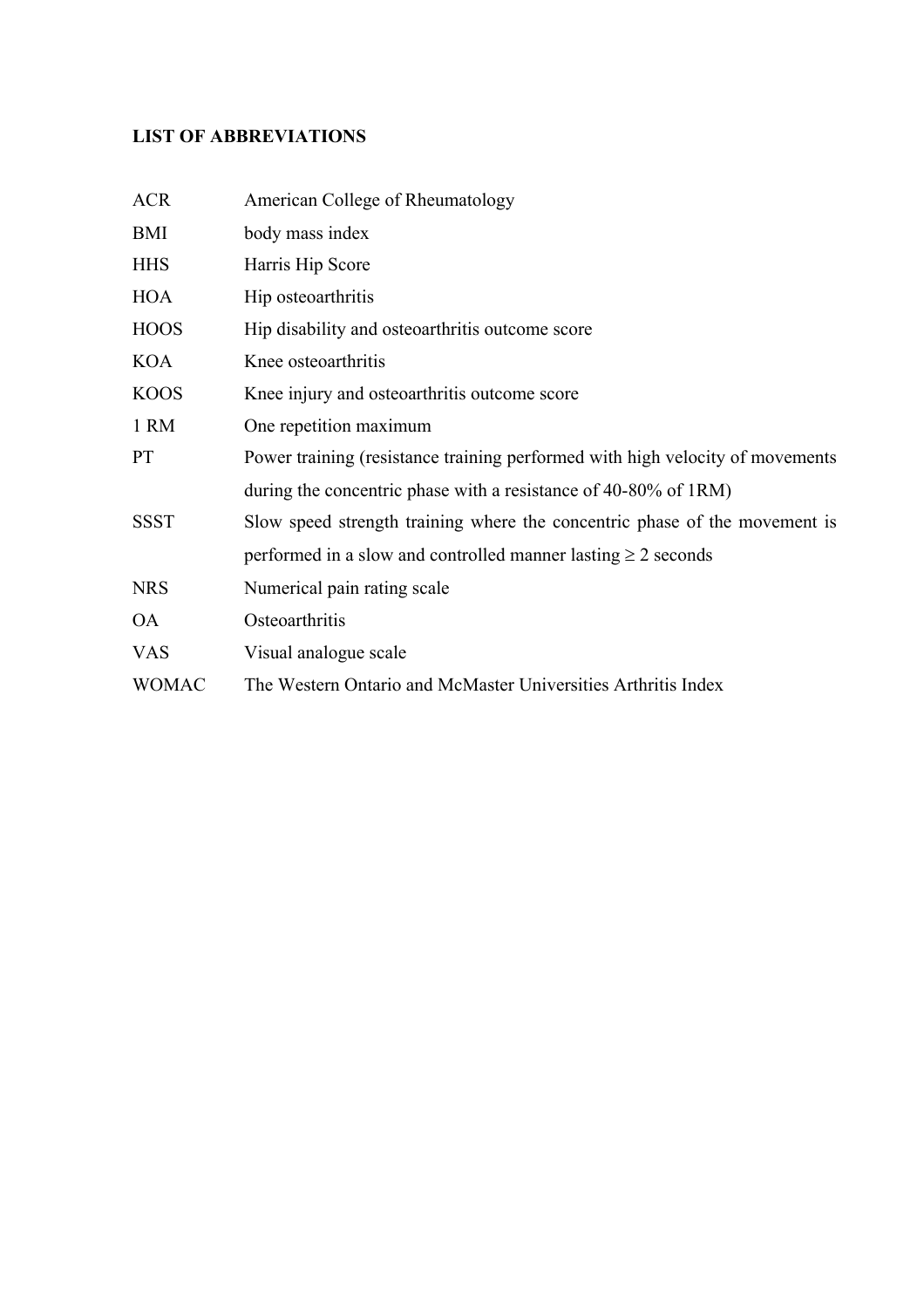# **LIST OF ABBREVIATIONS**

| <b>ACR</b>   | American College of Rheumatology                                              |
|--------------|-------------------------------------------------------------------------------|
| BMI          | body mass index                                                               |
| <b>HHS</b>   | Harris Hip Score                                                              |
| HOA          | Hip osteoarthritis                                                            |
| <b>HOOS</b>  | Hip disability and osteoarthritis outcome score                               |
| <b>KOA</b>   | Knee osteoarthritis                                                           |
| <b>KOOS</b>  | Knee injury and osteoarthritis outcome score                                  |
| 1 RM         | One repetition maximum                                                        |
| PT           | Power training (resistance training performed with high velocity of movements |
|              | during the concentric phase with a resistance of 40-80% of 1RM)               |
| <b>SSST</b>  | Slow speed strength training where the concentric phase of the movement is    |
|              | performed in a slow and controlled manner lasting $\geq 2$ seconds            |
| <b>NRS</b>   | Numerical pain rating scale                                                   |
| <b>OA</b>    | Osteoarthritis                                                                |
| <b>VAS</b>   | Visual analogue scale                                                         |
| <b>WOMAC</b> | The Western Ontario and McMaster Universities Arthritis Index                 |
|              |                                                                               |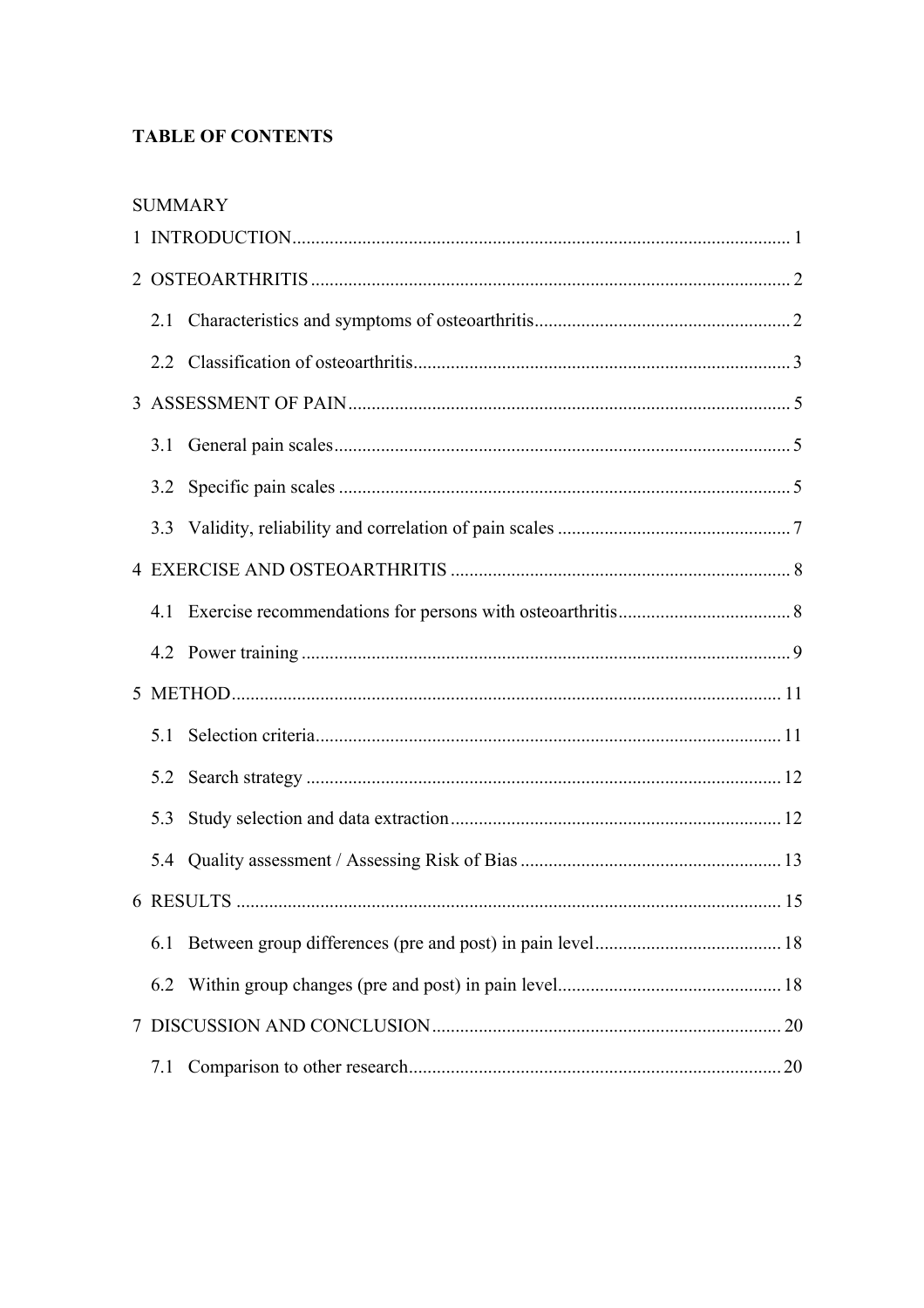## **TABLE OF CONTENTS**

| 2.1 |  |  |  |  |  |  |
|-----|--|--|--|--|--|--|
|     |  |  |  |  |  |  |
|     |  |  |  |  |  |  |
| 3.1 |  |  |  |  |  |  |
|     |  |  |  |  |  |  |
|     |  |  |  |  |  |  |
|     |  |  |  |  |  |  |
|     |  |  |  |  |  |  |
|     |  |  |  |  |  |  |
|     |  |  |  |  |  |  |
| 5.1 |  |  |  |  |  |  |
| 5.2 |  |  |  |  |  |  |
| 5.3 |  |  |  |  |  |  |
|     |  |  |  |  |  |  |
|     |  |  |  |  |  |  |
| 6.1 |  |  |  |  |  |  |
| 6.2 |  |  |  |  |  |  |
|     |  |  |  |  |  |  |
| 7.1 |  |  |  |  |  |  |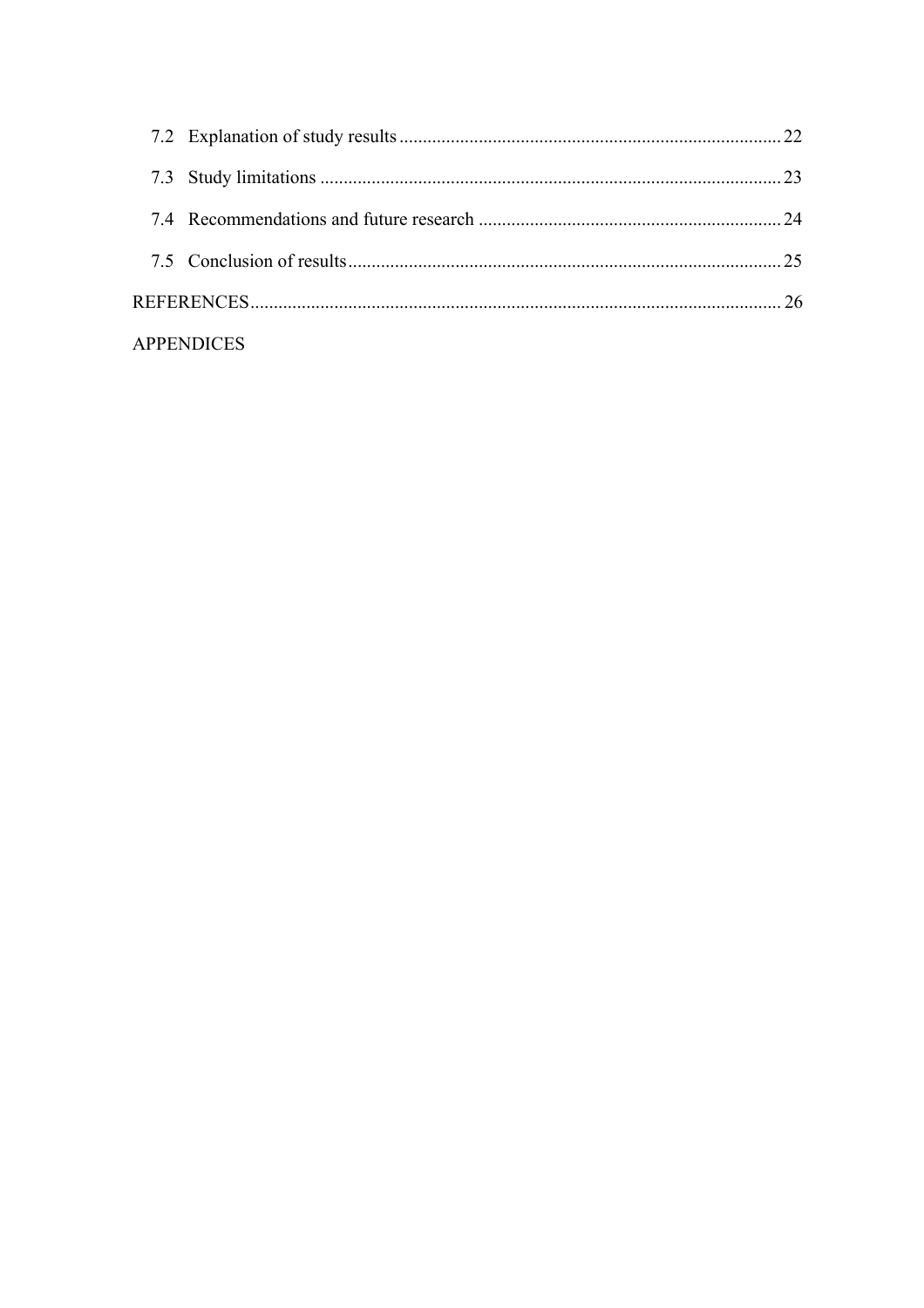| APPENDICES |  |
|------------|--|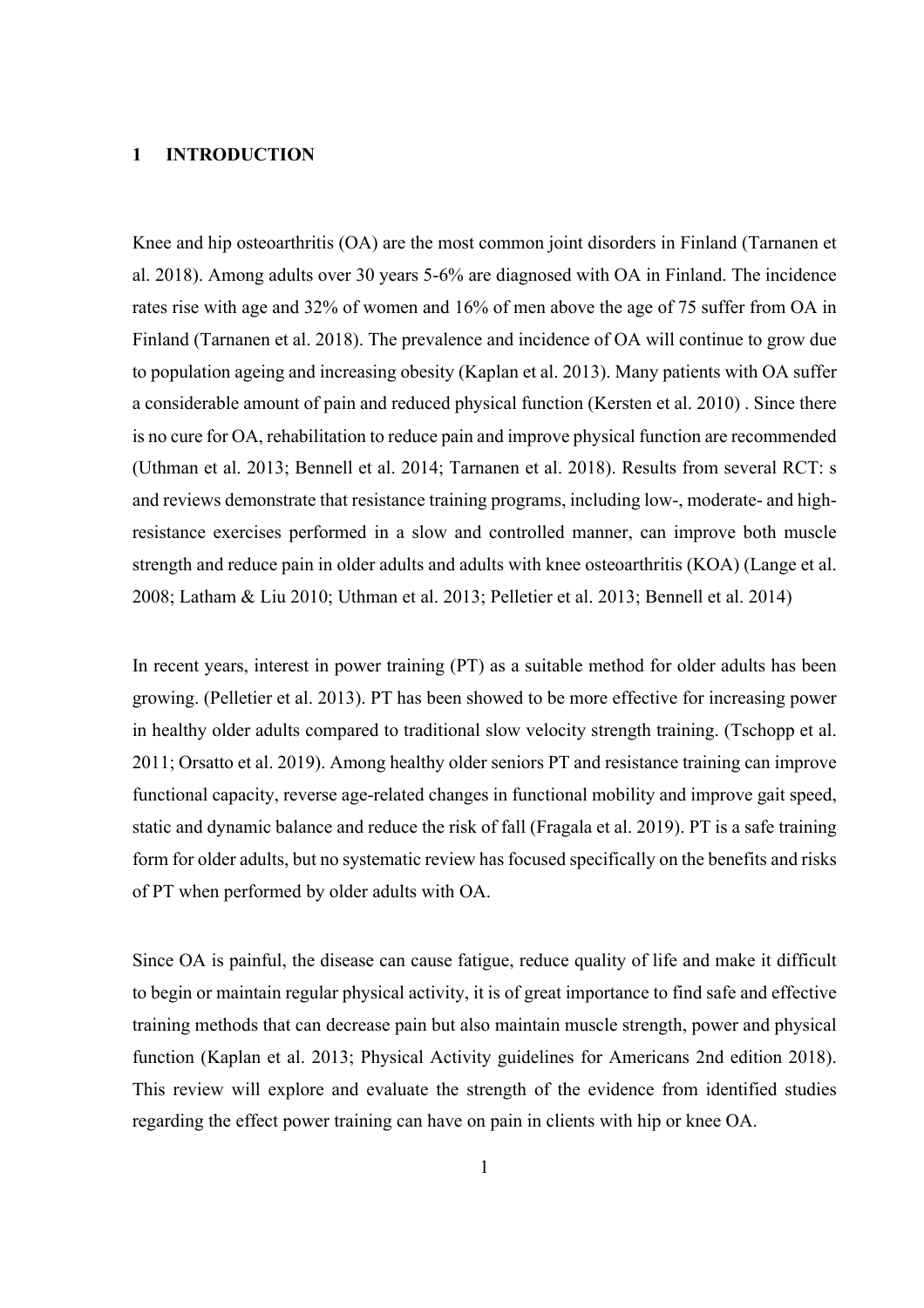### **1 INTRODUCTION**

Knee and hip osteoarthritis (OA) are the most common joint disorders in Finland (Tarnanen et al. 2018). Among adults over 30 years 5-6% are diagnosed with OA in Finland. The incidence rates rise with age and 32% of women and 16% of men above the age of 75 suffer from OA in Finland (Tarnanen et al. 2018). The prevalence and incidence of OA will continue to grow due to population ageing and increasing obesity (Kaplan et al. 2013). Many patients with OA suffer a considerable amount of pain and reduced physical function (Kersten et al. 2010) . Since there is no cure for OA, rehabilitation to reduce pain and improve physical function are recommended (Uthman et al. 2013; Bennell et al. 2014; Tarnanen et al. 2018). Results from several RCT: s and reviews demonstrate that resistance training programs, including low-, moderate- and highresistance exercises performed in a slow and controlled manner, can improve both muscle strength and reduce pain in older adults and adults with knee osteoarthritis (KOA) (Lange et al. 2008; Latham & Liu 2010; Uthman et al. 2013; Pelletier et al. 2013; Bennell et al. 2014)

In recent years, interest in power training (PT) as a suitable method for older adults has been growing. (Pelletier et al. 2013). PT has been showed to be more effective for increasing power in healthy older adults compared to traditional slow velocity strength training. (Tschopp et al. 2011; Orsatto et al. 2019). Among healthy older seniors PT and resistance training can improve functional capacity, reverse age-related changes in functional mobility and improve gait speed, static and dynamic balance and reduce the risk of fall (Fragala et al. 2019). PT is a safe training form for older adults, but no systematic review has focused specifically on the benefits and risks of PT when performed by older adults with OA.

Since OA is painful, the disease can cause fatigue, reduce quality of life and make it difficult to begin or maintain regular physical activity, it is of great importance to find safe and effective training methods that can decrease pain but also maintain muscle strength, power and physical function (Kaplan et al. 2013; Physical Activity guidelines for Americans 2nd edition 2018). This review will explore and evaluate the strength of the evidence from identified studies regarding the effect power training can have on pain in clients with hip or knee OA.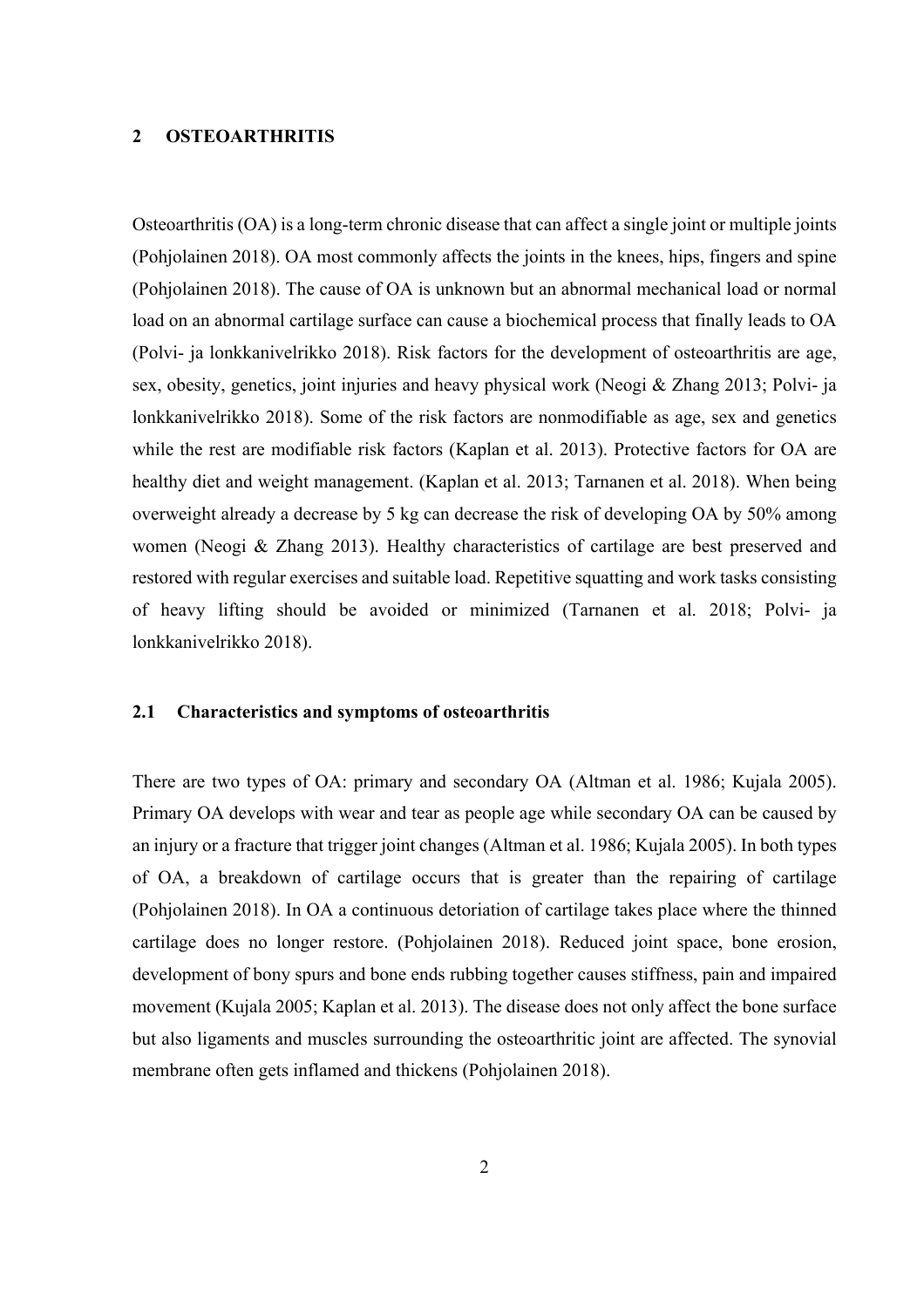### **2 OSTEOARTHRITIS**

Osteoarthritis (OA) is a long-term chronic disease that can affect a single joint or multiple joints (Pohjolainen 2018). OA most commonly affects the joints in the knees, hips, fingers and spine (Pohjolainen 2018). The cause of OA is unknown but an abnormal mechanical load or normal load on an abnormal cartilage surface can cause a biochemical process that finally leads to OA (Polvi- ja lonkkanivelrikko 2018). Risk factors for the development of osteoarthritis are age, sex, obesity, genetics, joint injuries and heavy physical work (Neogi & Zhang 2013; Polvi- ja lonkkanivelrikko 2018). Some of the risk factors are nonmodifiable as age, sex and genetics while the rest are modifiable risk factors (Kaplan et al. 2013). Protective factors for OA are healthy diet and weight management. (Kaplan et al. 2013; Tarnanen et al. 2018). When being overweight already a decrease by 5 kg can decrease the risk of developing OA by 50% among women (Neogi & Zhang 2013). Healthy characteristics of cartilage are best preserved and restored with regular exercises and suitable load. Repetitive squatting and work tasks consisting of heavy lifting should be avoided or minimized (Tarnanen et al. 2018; Polvi- ja lonkkanivelrikko 2018).

#### **2.1 Characteristics and symptoms of osteoarthritis**

There are two types of OA: primary and secondary OA (Altman et al. 1986; Kujala 2005). Primary OA develops with wear and tear as people age while secondary OA can be caused by an injury or a fracture that trigger joint changes (Altman et al. 1986; Kujala 2005). In both types of OA, a breakdown of cartilage occurs that is greater than the repairing of cartilage (Pohjolainen 2018). In OA a continuous detoriation of cartilage takes place where the thinned cartilage does no longer restore. (Pohjolainen 2018). Reduced joint space, bone erosion, development of bony spurs and bone ends rubbing together causes stiffness, pain and impaired movement (Kujala 2005; Kaplan et al. 2013). The disease does not only affect the bone surface but also ligaments and muscles surrounding the osteoarthritic joint are affected. The synovial membrane often gets inflamed and thickens (Pohjolainen 2018).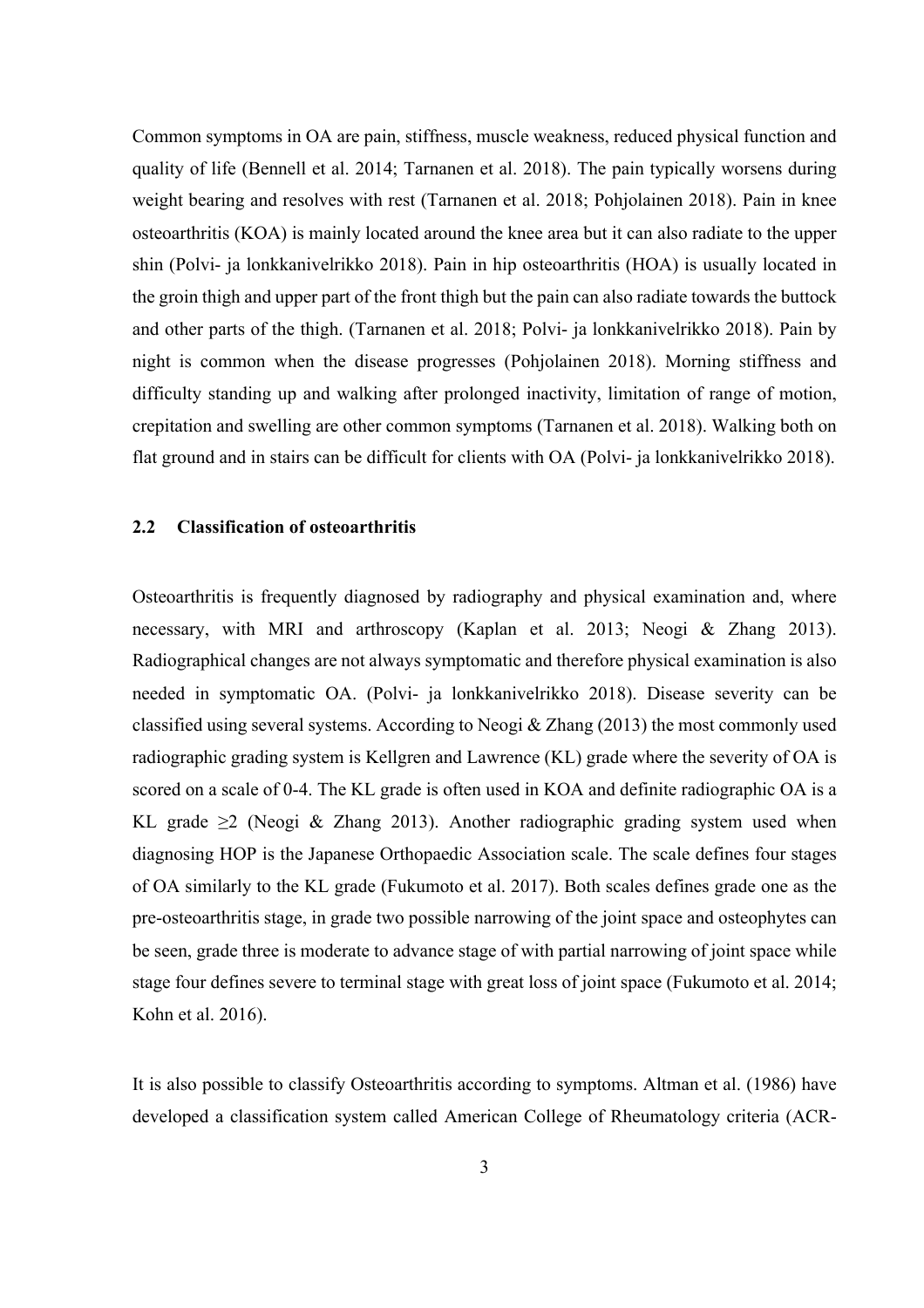Common symptoms in OA are pain, stiffness, muscle weakness, reduced physical function and quality of life (Bennell et al. 2014; Tarnanen et al. 2018). The pain typically worsens during weight bearing and resolves with rest (Tarnanen et al. 2018; Pohjolainen 2018). Pain in knee osteoarthritis (KOA) is mainly located around the knee area but it can also radiate to the upper shin (Polvi- ja lonkkanivelrikko 2018). Pain in hip osteoarthritis (HOA) is usually located in the groin thigh and upper part of the front thigh but the pain can also radiate towards the buttock and other parts of the thigh. (Tarnanen et al. 2018; Polvi- ja lonkkanivelrikko 2018). Pain by night is common when the disease progresses (Pohjolainen 2018). Morning stiffness and difficulty standing up and walking after prolonged inactivity, limitation of range of motion, crepitation and swelling are other common symptoms (Tarnanen et al. 2018). Walking both on flat ground and in stairs can be difficult for clients with OA (Polvi- ja lonkkanivelrikko 2018).

#### **2.2 Classification of osteoarthritis**

Osteoarthritis is frequently diagnosed by radiography and physical examination and, where necessary, with MRI and arthroscopy (Kaplan et al. 2013; Neogi & Zhang 2013). Radiographical changes are not always symptomatic and therefore physical examination is also needed in symptomatic OA. (Polvi- ja lonkkanivelrikko 2018). Disease severity can be classified using several systems. According to Neogi  $&$  Zhang (2013) the most commonly used radiographic grading system is Kellgren and Lawrence (KL) grade where the severity of OA is scored on a scale of 0-4. The KL grade is often used in KOA and definite radiographic OA is a KL grade  $\geq 2$  (Neogi & Zhang 2013). Another radiographic grading system used when diagnosing HOP is the Japanese Orthopaedic Association scale. The scale defines four stages of OA similarly to the KL grade (Fukumoto et al. 2017). Both scales defines grade one as the pre-osteoarthritis stage, in grade two possible narrowing of the joint space and osteophytes can be seen, grade three is moderate to advance stage of with partial narrowing of joint space while stage four defines severe to terminal stage with great loss of joint space (Fukumoto et al. 2014; Kohn et al. 2016).

It is also possible to classify Osteoarthritis according to symptoms. Altman et al. (1986) have developed a classification system called American College of Rheumatology criteria (ACR-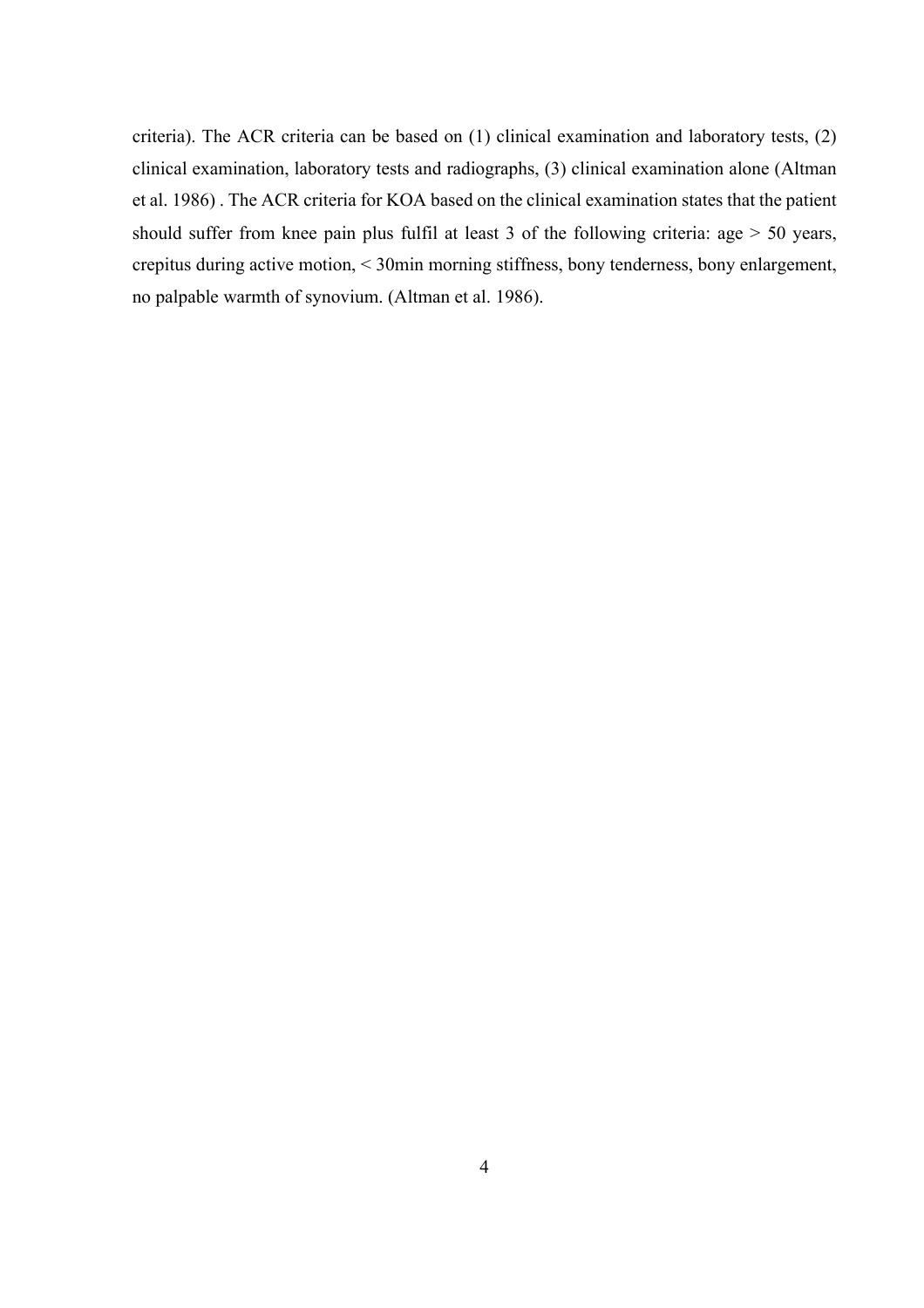criteria). The ACR criteria can be based on (1) clinical examination and laboratory tests, (2) clinical examination, laboratory tests and radiographs, (3) clinical examination alone (Altman et al. 1986) . The ACR criteria for KOA based on the clinical examination states that the patient should suffer from knee pain plus fulfil at least 3 of the following criteria: age > 50 years, crepitus during active motion, < 30min morning stiffness, bony tenderness, bony enlargement, no palpable warmth of synovium. (Altman et al. 1986).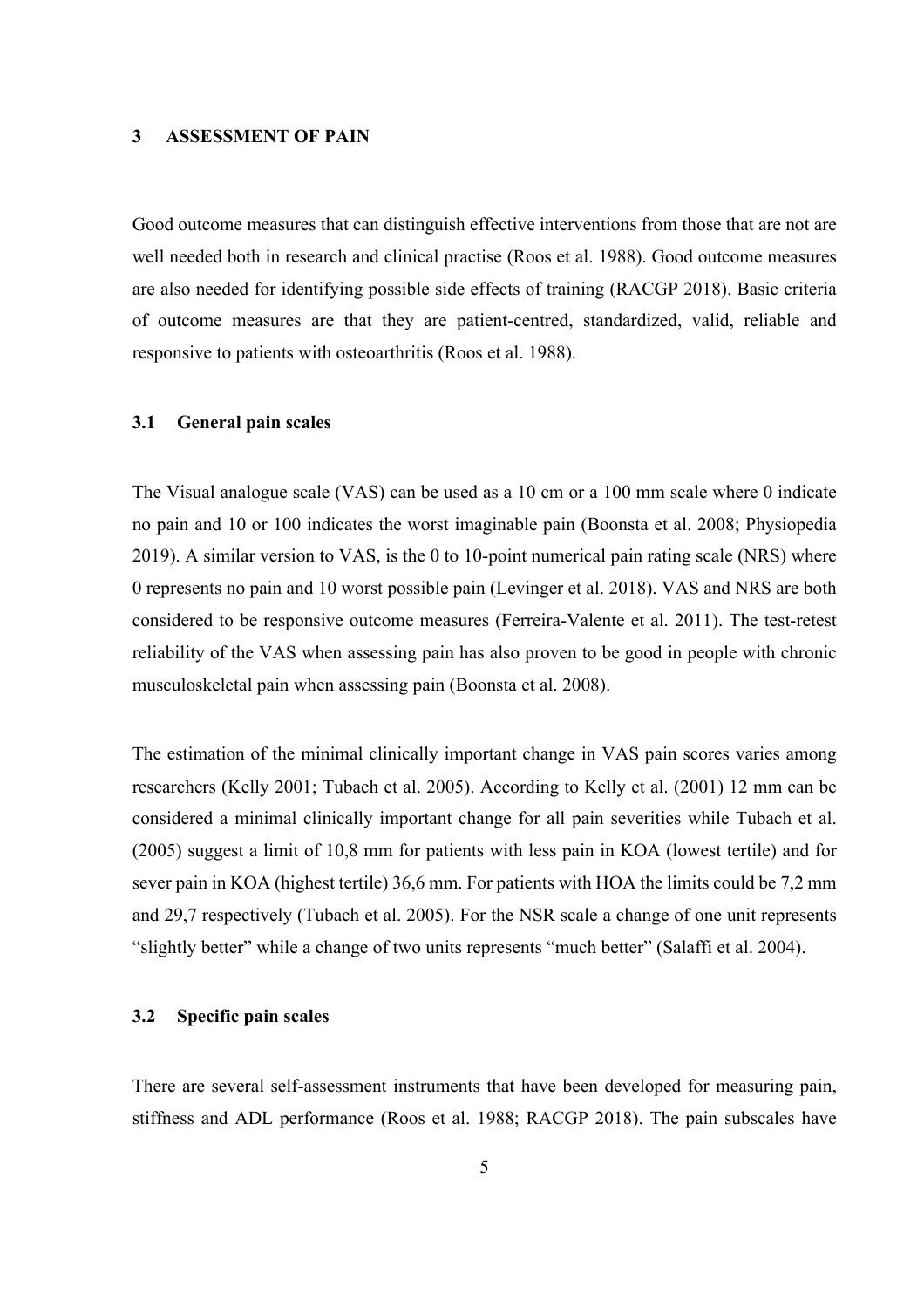#### **3 ASSESSMENT OF PAIN**

Good outcome measures that can distinguish effective interventions from those that are not are well needed both in research and clinical practise (Roos et al. 1988). Good outcome measures are also needed for identifying possible side effects of training (RACGP 2018). Basic criteria of outcome measures are that they are patient-centred, standardized, valid, reliable and responsive to patients with osteoarthritis (Roos et al. 1988).

### **3.1 General pain scales**

The Visual analogue scale (VAS) can be used as a 10 cm or a 100 mm scale where 0 indicate no pain and 10 or 100 indicates the worst imaginable pain (Boonsta et al. 2008; Physiopedia 2019). A similar version to VAS, is the 0 to 10-point numerical pain rating scale (NRS) where 0 represents no pain and 10 worst possible pain (Levinger et al. 2018). VAS and NRS are both considered to be responsive outcome measures (Ferreira-Valente et al. 2011). The test-retest reliability of the VAS when assessing pain has also proven to be good in people with chronic musculoskeletal pain when assessing pain (Boonsta et al. 2008).

The estimation of the minimal clinically important change in VAS pain scores varies among researchers (Kelly 2001; Tubach et al. 2005). According to Kelly et al. (2001) 12 mm can be considered a minimal clinically important change for all pain severities while Tubach et al. (2005) suggest a limit of 10,8 mm for patients with less pain in KOA (lowest tertile) and for sever pain in KOA (highest tertile) 36,6 mm. For patients with HOA the limits could be 7,2 mm and 29,7 respectively (Tubach et al. 2005). For the NSR scale a change of one unit represents "slightly better" while a change of two units represents "much better" (Salaffi et al. 2004).

### **3.2 Specific pain scales**

There are several self-assessment instruments that have been developed for measuring pain, stiffness and ADL performance (Roos et al. 1988; RACGP 2018). The pain subscales have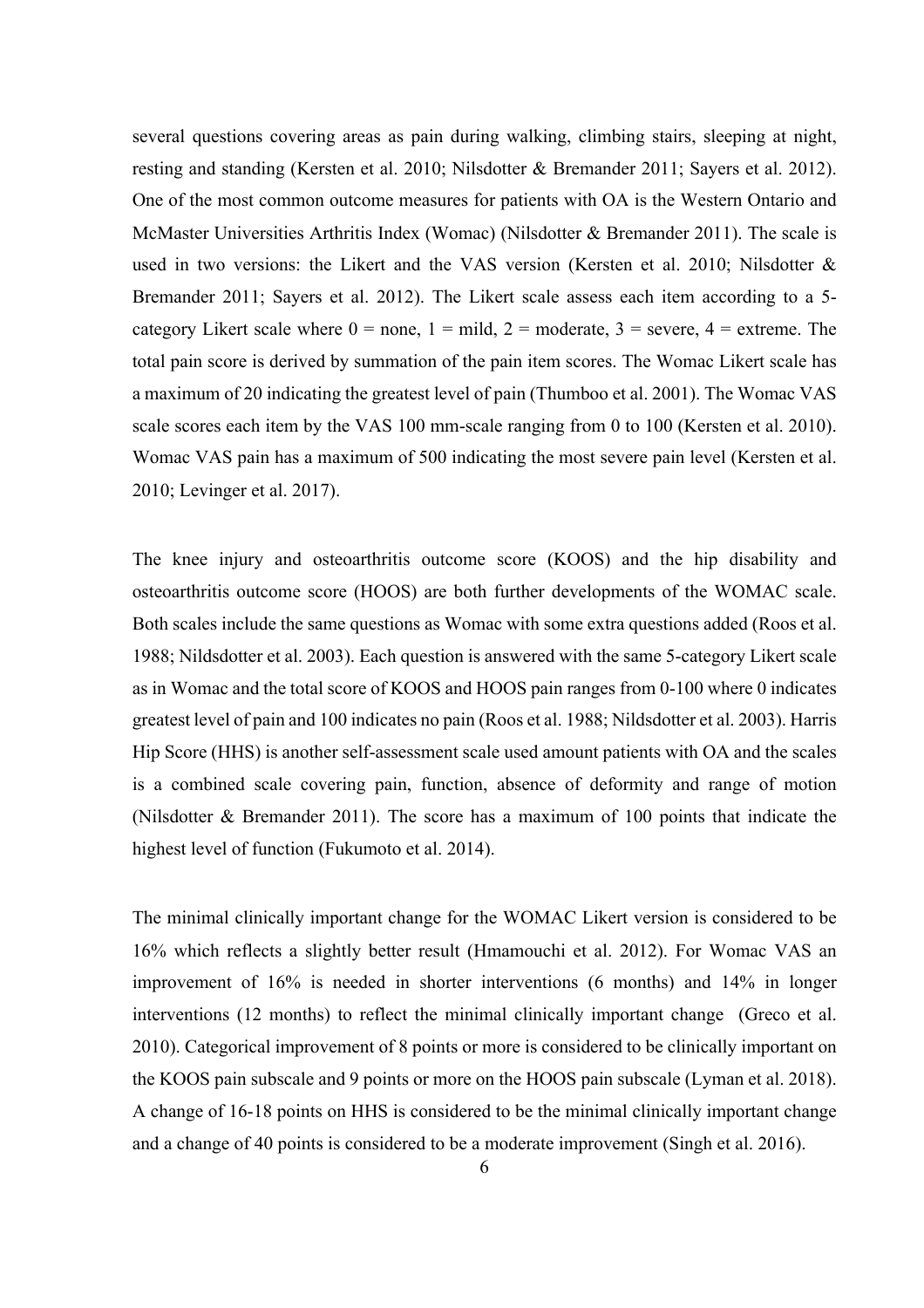several questions covering areas as pain during walking, climbing stairs, sleeping at night, resting and standing (Kersten et al. 2010; Nilsdotter & Bremander 2011; Sayers et al. 2012). One of the most common outcome measures for patients with OA is the Western Ontario and McMaster Universities Arthritis Index (Womac) (Nilsdotter & Bremander 2011). The scale is used in two versions: the Likert and the VAS version (Kersten et al. 2010; Nilsdotter & Bremander 2011; Sayers et al. 2012). The Likert scale assess each item according to a 5 category Likert scale where  $0 =$  none,  $1 =$  mild,  $2 =$  moderate,  $3 =$  severe,  $4 =$  extreme. The total pain score is derived by summation of the pain item scores. The Womac Likert scale has a maximum of 20 indicating the greatest level of pain (Thumboo et al. 2001). The Womac VAS scale scores each item by the VAS 100 mm-scale ranging from 0 to 100 (Kersten et al. 2010). Womac VAS pain has a maximum of 500 indicating the most severe pain level (Kersten et al. 2010; Levinger et al. 2017).

The knee injury and osteoarthritis outcome score (KOOS) and the hip disability and osteoarthritis outcome score (HOOS) are both further developments of the WOMAC scale. Both scales include the same questions as Womac with some extra questions added (Roos et al. 1988; Nildsdotter et al. 2003). Each question is answered with the same 5-category Likert scale as in Womac and the total score of KOOS and HOOS pain ranges from 0-100 where 0 indicates greatest level of pain and 100 indicates no pain (Roos et al. 1988; Nildsdotter et al. 2003). Harris Hip Score (HHS) is another self-assessment scale used amount patients with OA and the scales is a combined scale covering pain, function, absence of deformity and range of motion (Nilsdotter & Bremander 2011). The score has a maximum of 100 points that indicate the highest level of function (Fukumoto et al. 2014).

The minimal clinically important change for the WOMAC Likert version is considered to be 16% which reflects a slightly better result (Hmamouchi et al. 2012). For Womac VAS an improvement of 16% is needed in shorter interventions (6 months) and 14% in longer interventions (12 months) to reflect the minimal clinically important change (Greco et al. 2010). Categorical improvement of 8 points or more is considered to be clinically important on the KOOS pain subscale and 9 points or more on the HOOS pain subscale (Lyman et al. 2018). A change of 16-18 points on HHS is considered to be the minimal clinically important change and a change of 40 points is considered to be a moderate improvement (Singh et al. 2016).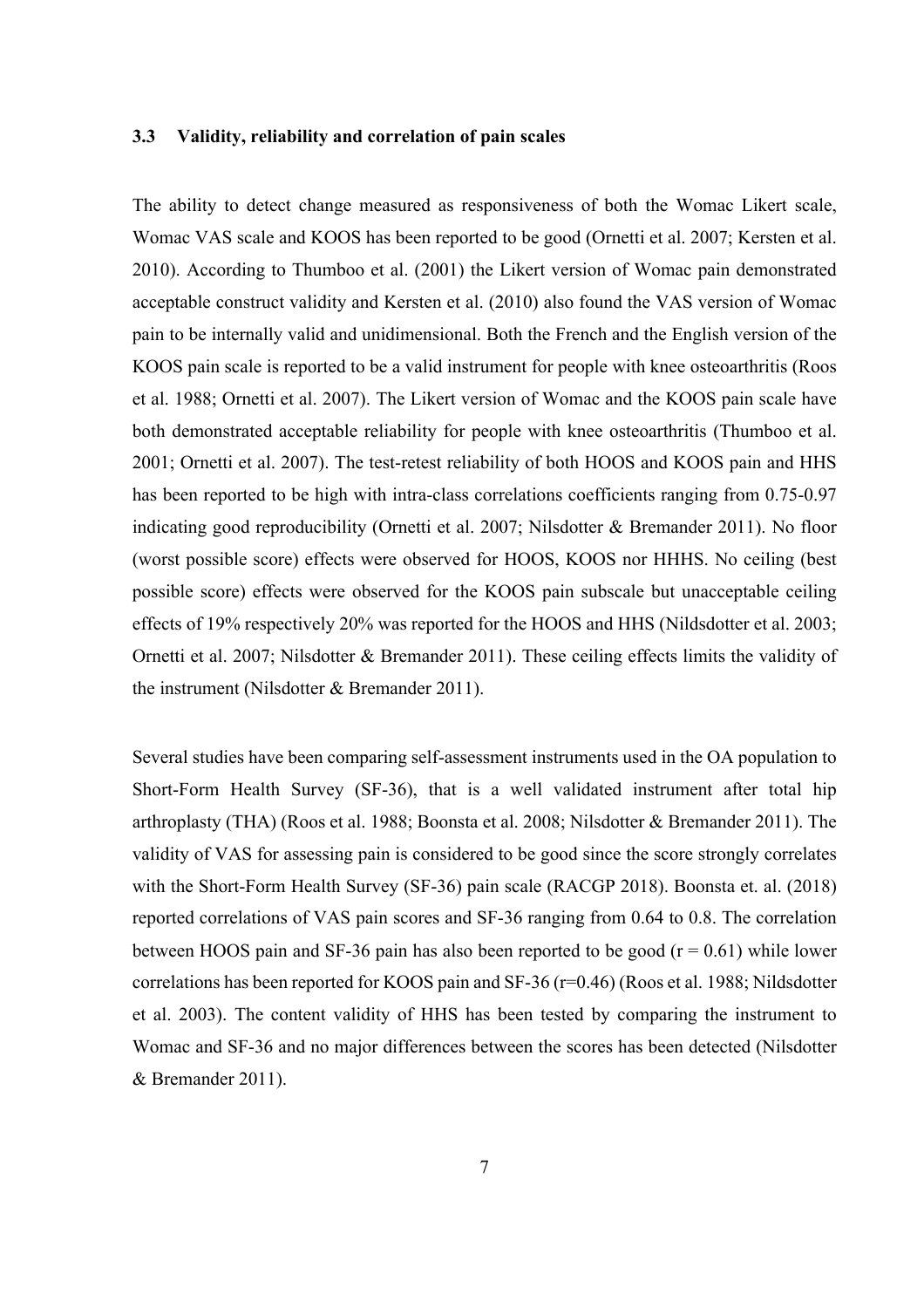### **3.3 Validity, reliability and correlation of pain scales**

The ability to detect change measured as responsiveness of both the Womac Likert scale, Womac VAS scale and KOOS has been reported to be good (Ornetti et al. 2007; Kersten et al. 2010). According to Thumboo et al. (2001) the Likert version of Womac pain demonstrated acceptable construct validity and Kersten et al. (2010) also found the VAS version of Womac pain to be internally valid and unidimensional. Both the French and the English version of the KOOS pain scale is reported to be a valid instrument for people with knee osteoarthritis (Roos et al. 1988; Ornetti et al. 2007). The Likert version of Womac and the KOOS pain scale have both demonstrated acceptable reliability for people with knee osteoarthritis (Thumboo et al. 2001; Ornetti et al. 2007). The test-retest reliability of both HOOS and KOOS pain and HHS has been reported to be high with intra-class correlations coefficients ranging from 0.75-0.97 indicating good reproducibility (Ornetti et al. 2007; Nilsdotter & Bremander 2011). No floor (worst possible score) effects were observed for HOOS, KOOS nor HHHS. No ceiling (best possible score) effects were observed for the KOOS pain subscale but unacceptable ceiling effects of 19% respectively 20% was reported for the HOOS and HHS (Nildsdotter et al. 2003; Ornetti et al. 2007; Nilsdotter & Bremander 2011). These ceiling effects limits the validity of the instrument (Nilsdotter & Bremander 2011).

Several studies have been comparing self-assessment instruments used in the OA population to Short-Form Health Survey (SF-36), that is a well validated instrument after total hip arthroplasty (THA) (Roos et al. 1988; Boonsta et al. 2008; Nilsdotter & Bremander 2011). The validity of VAS for assessing pain is considered to be good since the score strongly correlates with the Short-Form Health Survey (SF-36) pain scale (RACGP 2018). Boonsta et. al. (2018) reported correlations of VAS pain scores and SF-36 ranging from 0.64 to 0.8. The correlation between HOOS pain and SF-36 pain has also been reported to be good  $(r = 0.61)$  while lower correlations has been reported for KOOS pain and SF-36 (r=0.46) (Roos et al. 1988; Nildsdotter et al. 2003). The content validity of HHS has been tested by comparing the instrument to Womac and SF-36 and no major differences between the scores has been detected (Nilsdotter & Bremander 2011).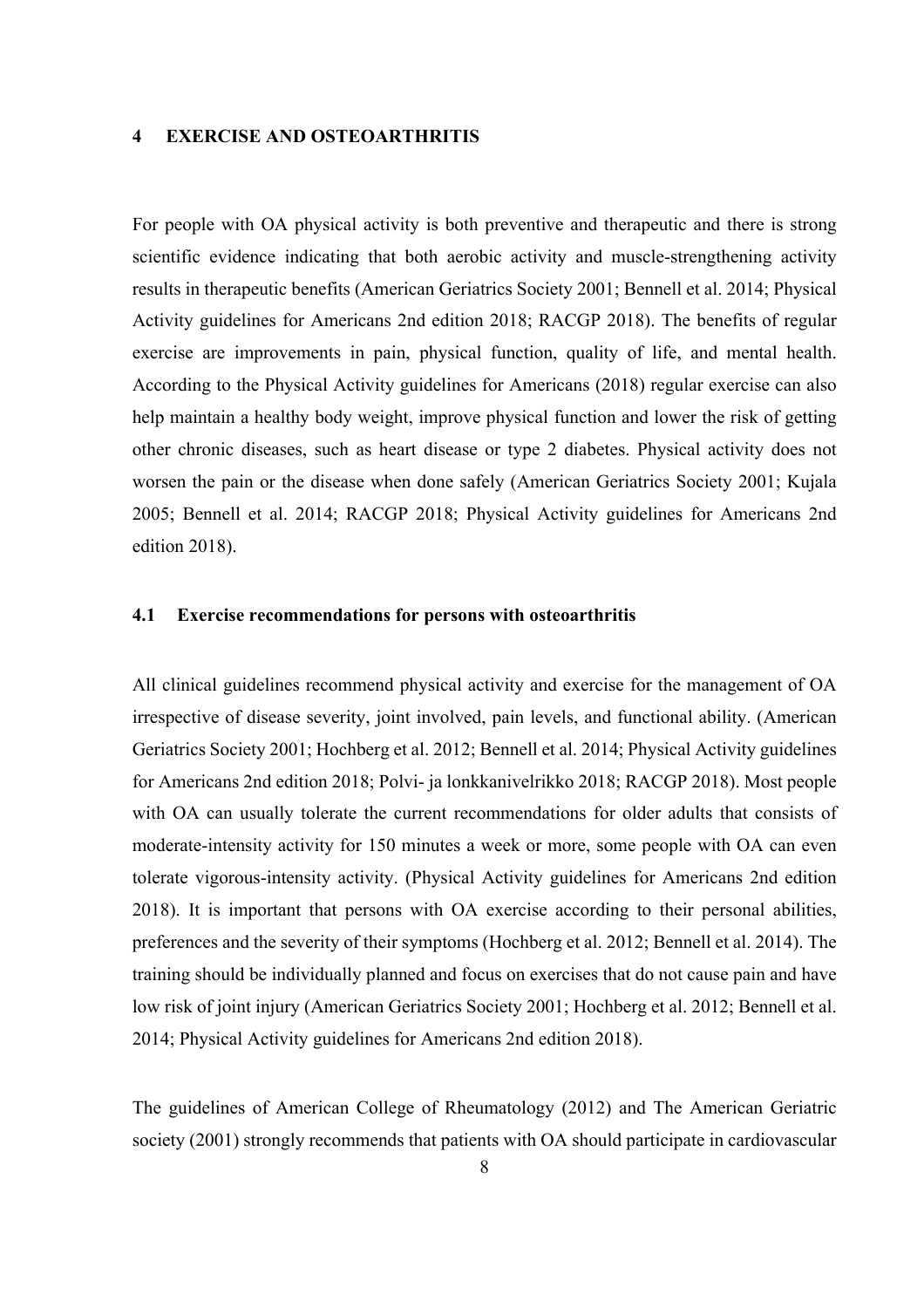### **4 EXERCISE AND OSTEOARTHRITIS**

For people with OA physical activity is both preventive and therapeutic and there is strong scientific evidence indicating that both aerobic activity and muscle-strengthening activity results in therapeutic benefits (American Geriatrics Society 2001; Bennell et al. 2014; Physical Activity guidelines for Americans 2nd edition 2018; RACGP 2018). The benefits of regular exercise are improvements in pain, physical function, quality of life, and mental health. According to the Physical Activity guidelines for Americans (2018) regular exercise can also help maintain a healthy body weight, improve physical function and lower the risk of getting other chronic diseases, such as heart disease or type 2 diabetes. Physical activity does not worsen the pain or the disease when done safely (American Geriatrics Society 2001; Kujala 2005; Bennell et al. 2014; RACGP 2018; Physical Activity guidelines for Americans 2nd edition 2018).

#### **4.1 Exercise recommendations for persons with osteoarthritis**

All clinical guidelines recommend physical activity and exercise for the management of OA irrespective of disease severity, joint involved, pain levels, and functional ability. (American Geriatrics Society 2001; Hochberg et al. 2012; Bennell et al. 2014; Physical Activity guidelines for Americans 2nd edition 2018; Polvi- ja lonkkanivelrikko 2018; RACGP 2018). Most people with OA can usually tolerate the current recommendations for older adults that consists of moderate-intensity activity for 150 minutes a week or more, some people with OA can even tolerate vigorous-intensity activity. (Physical Activity guidelines for Americans 2nd edition 2018). It is important that persons with OA exercise according to their personal abilities, preferences and the severity of their symptoms (Hochberg et al. 2012; Bennell et al. 2014). The training should be individually planned and focus on exercises that do not cause pain and have low risk of joint injury (American Geriatrics Society 2001; Hochberg et al. 2012; Bennell et al. 2014; Physical Activity guidelines for Americans 2nd edition 2018).

The guidelines of American College of Rheumatology (2012) and The American Geriatric society (2001) strongly recommends that patients with OA should participate in cardiovascular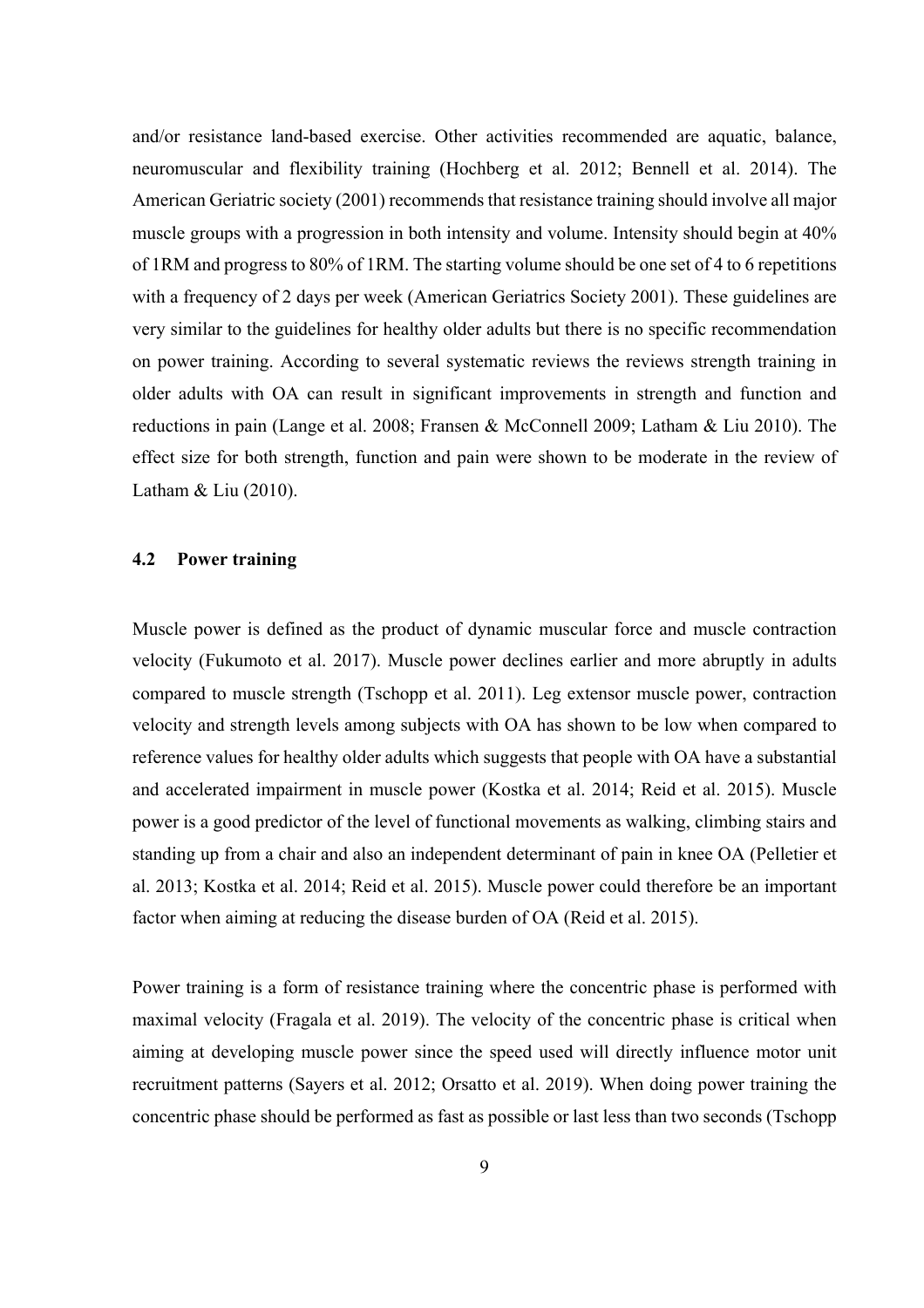and/or resistance land-based exercise. Other activities recommended are aquatic, balance, neuromuscular and flexibility training (Hochberg et al. 2012; Bennell et al. 2014). The American Geriatric society (2001) recommends that resistance training should involve all major muscle groups with a progression in both intensity and volume. Intensity should begin at 40% of 1RM and progress to 80% of 1RM. The starting volume should be one set of 4 to 6 repetitions with a frequency of 2 days per week (American Geriatrics Society 2001). These guidelines are very similar to the guidelines for healthy older adults but there is no specific recommendation on power training. According to several systematic reviews the reviews strength training in older adults with OA can result in significant improvements in strength and function and reductions in pain (Lange et al. 2008; Fransen & McConnell 2009; Latham & Liu 2010). The effect size for both strength, function and pain were shown to be moderate in the review of Latham & Liu (2010).

### **4.2 Power training**

Muscle power is defined as the product of dynamic muscular force and muscle contraction velocity (Fukumoto et al. 2017). Muscle power declines earlier and more abruptly in adults compared to muscle strength (Tschopp et al. 2011). Leg extensor muscle power, contraction velocity and strength levels among subjects with OA has shown to be low when compared to reference values for healthy older adults which suggests that people with OA have a substantial and accelerated impairment in muscle power (Kostka et al. 2014; Reid et al. 2015). Muscle power is a good predictor of the level of functional movements as walking, climbing stairs and standing up from a chair and also an independent determinant of pain in knee OA (Pelletier et al. 2013; Kostka et al. 2014; Reid et al. 2015). Muscle power could therefore be an important factor when aiming at reducing the disease burden of OA (Reid et al. 2015).

Power training is a form of resistance training where the concentric phase is performed with maximal velocity (Fragala et al. 2019). The velocity of the concentric phase is critical when aiming at developing muscle power since the speed used will directly influence motor unit recruitment patterns (Sayers et al. 2012; Orsatto et al. 2019). When doing power training the concentric phase should be performed as fast as possible or last less than two seconds (Tschopp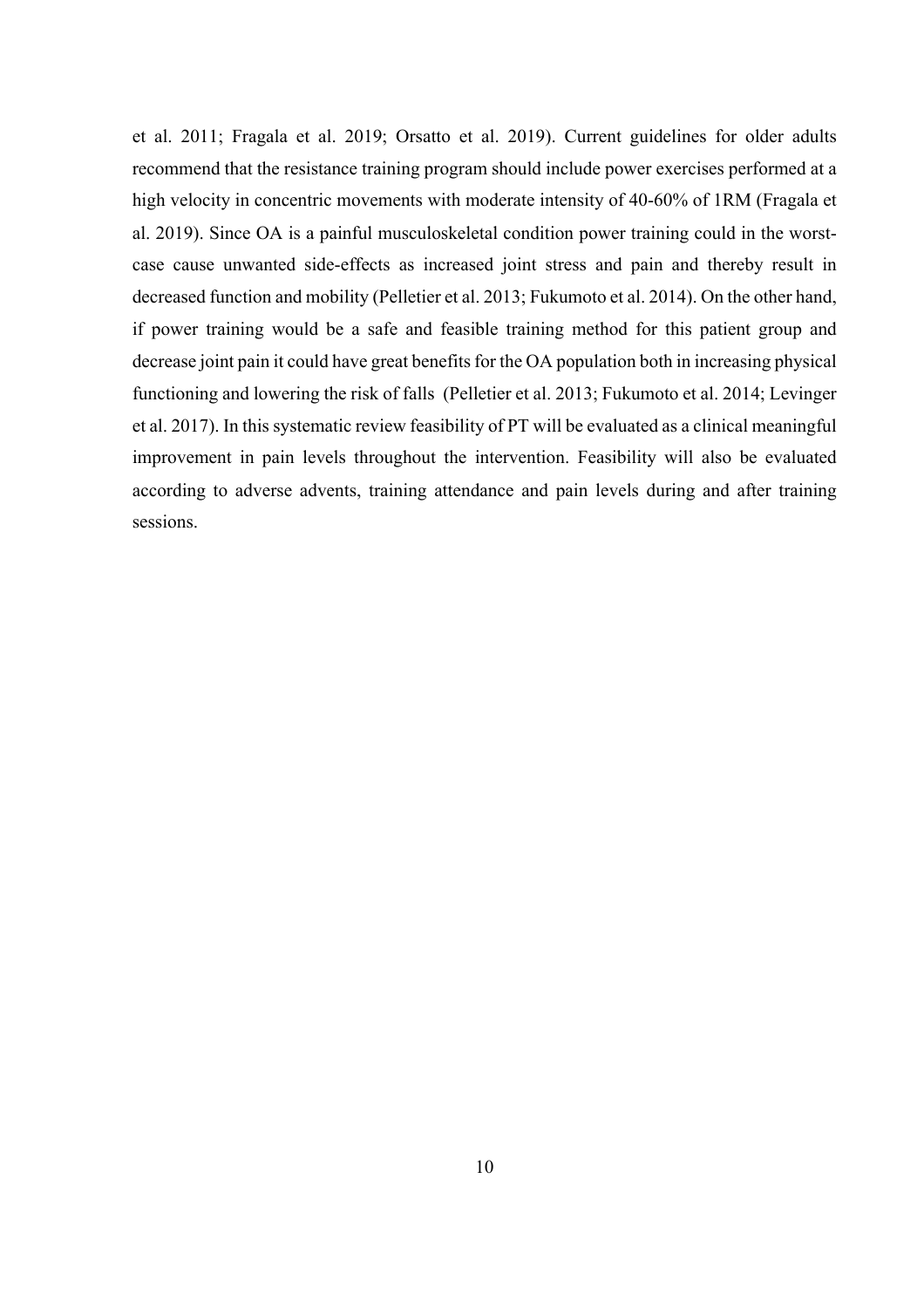et al. 2011; Fragala et al. 2019; Orsatto et al. 2019). Current guidelines for older adults recommend that the resistance training program should include power exercises performed at a high velocity in concentric movements with moderate intensity of 40-60% of 1RM (Fragala et al. 2019). Since OA is a painful musculoskeletal condition power training could in the worstcase cause unwanted side-effects as increased joint stress and pain and thereby result in decreased function and mobility (Pelletier et al. 2013; Fukumoto et al. 2014). On the other hand, if power training would be a safe and feasible training method for this patient group and decrease joint pain it could have great benefits for the OA population both in increasing physical functioning and lowering the risk of falls (Pelletier et al. 2013; Fukumoto et al. 2014; Levinger et al. 2017). In this systematic review feasibility of PT will be evaluated as a clinical meaningful improvement in pain levels throughout the intervention. Feasibility will also be evaluated according to adverse advents, training attendance and pain levels during and after training sessions.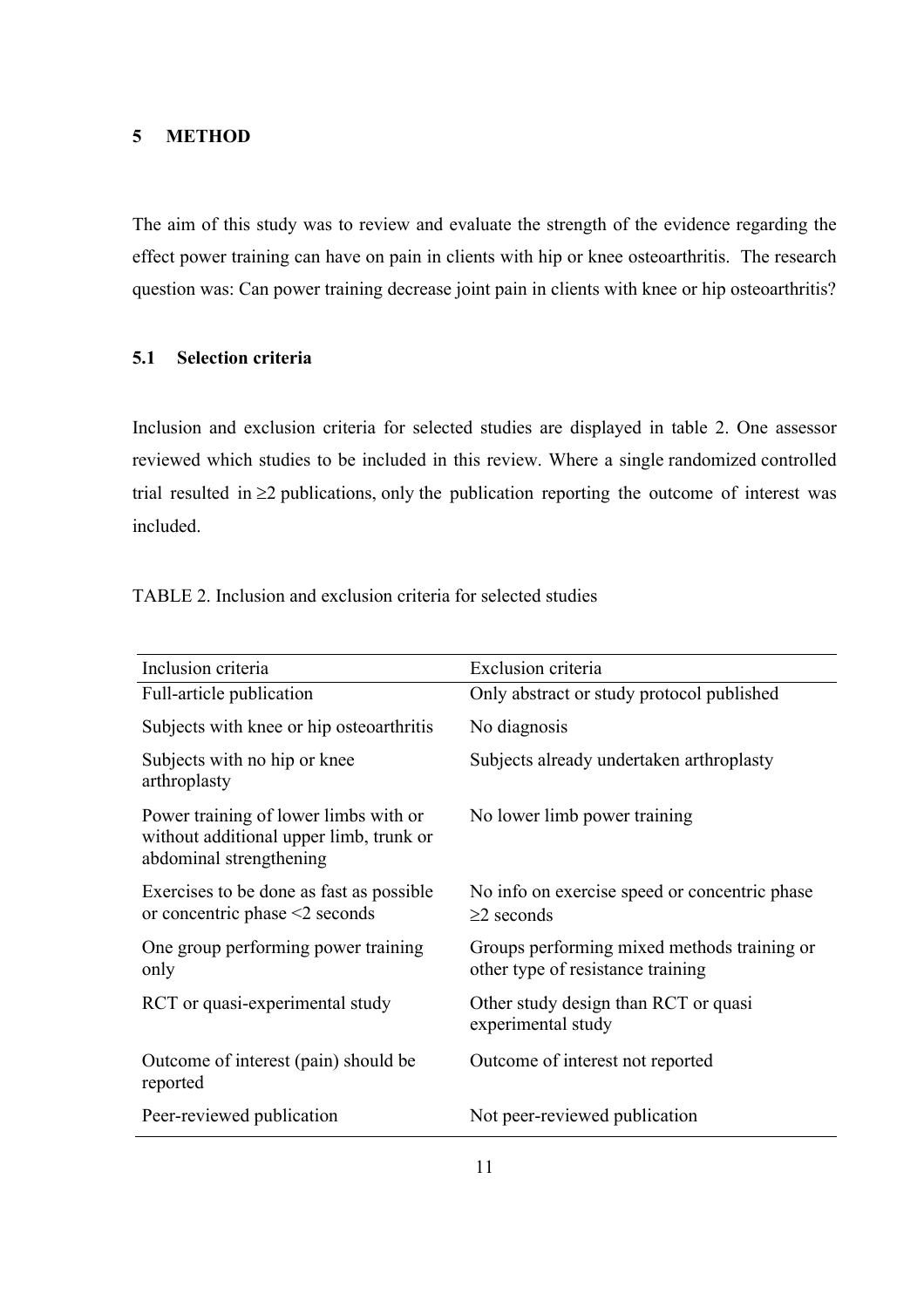### **5 METHOD**

The aim of this study was to review and evaluate the strength of the evidence regarding the effect power training can have on pain in clients with hip or knee osteoarthritis. The research question was: Can power training decrease joint pain in clients with knee or hip osteoarthritis?

### **5.1 Selection criteria**

Inclusion and exclusion criteria for selected studies are displayed in table 2. One assessor reviewed which studies to be included in this review. Where a single randomized controlled trial resulted in  $\geq$ 2 publications, only the publication reporting the outcome of interest was included.

| Inclusion criteria                                                                                          | Exclusion criteria                                                               |
|-------------------------------------------------------------------------------------------------------------|----------------------------------------------------------------------------------|
| Full-article publication                                                                                    | Only abstract or study protocol published                                        |
| Subjects with knee or hip osteoarthritis                                                                    | No diagnosis                                                                     |
| Subjects with no hip or knee<br>arthroplasty                                                                | Subjects already undertaken arthroplasty                                         |
| Power training of lower limbs with or<br>without additional upper limb, trunk or<br>abdominal strengthening | No lower limb power training                                                     |
| Exercises to be done as fast as possible<br>or concentric phase $\leq$ seconds                              | No info on exercise speed or concentric phase<br>$\geq$ 2 seconds                |
| One group performing power training<br>only                                                                 | Groups performing mixed methods training or<br>other type of resistance training |
| RCT or quasi-experimental study                                                                             | Other study design than RCT or quasi<br>experimental study                       |
| Outcome of interest (pain) should be<br>reported                                                            | Outcome of interest not reported                                                 |
| Peer-reviewed publication                                                                                   | Not peer-reviewed publication                                                    |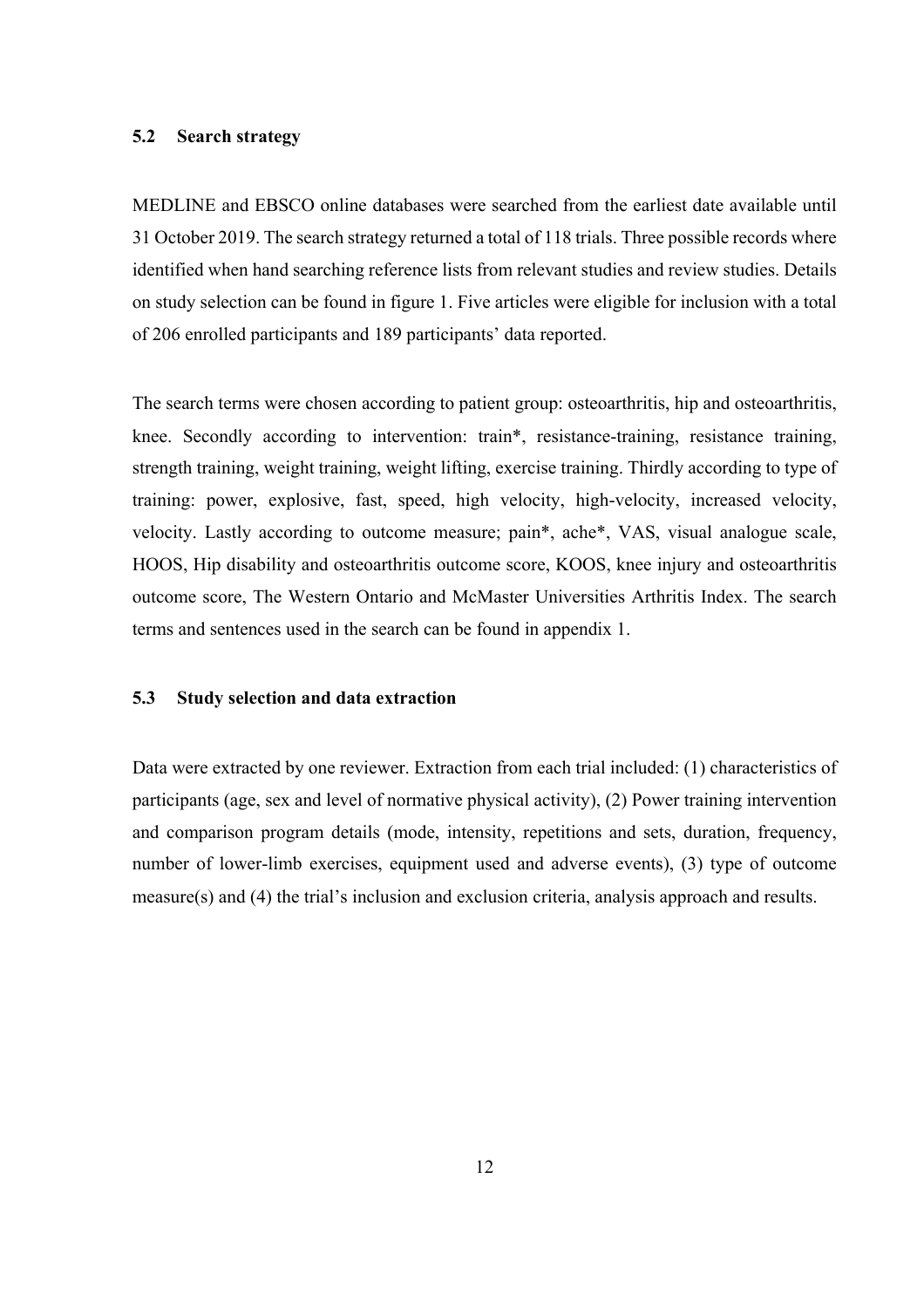### **5.2 Search strategy**

MEDLINE and EBSCO online databases were searched from the earliest date available until 31 October 2019. The search strategy returned a total of 118 trials. Three possible records where identified when hand searching reference lists from relevant studies and review studies. Details on study selection can be found in figure 1. Five articles were eligible for inclusion with a total of 206 enrolled participants and 189 participants' data reported.

The search terms were chosen according to patient group: osteoarthritis, hip and osteoarthritis, knee. Secondly according to intervention: train\*, resistance-training, resistance training, strength training, weight training, weight lifting, exercise training. Thirdly according to type of training: power, explosive, fast, speed, high velocity, high-velocity, increased velocity, velocity. Lastly according to outcome measure; pain\*, ache\*, VAS, visual analogue scale, HOOS, Hip disability and osteoarthritis outcome score, KOOS, knee injury and osteoarthritis outcome score, The Western Ontario and McMaster Universities Arthritis Index. The search terms and sentences used in the search can be found in appendix 1.

### **5.3 Study selection and data extraction**

Data were extracted by one reviewer. Extraction from each trial included: (1) characteristics of participants (age, sex and level of normative physical activity), (2) Power training intervention and comparison program details (mode, intensity, repetitions and sets, duration, frequency, number of lower-limb exercises, equipment used and adverse events), (3) type of outcome measure(s) and (4) the trial's inclusion and exclusion criteria, analysis approach and results.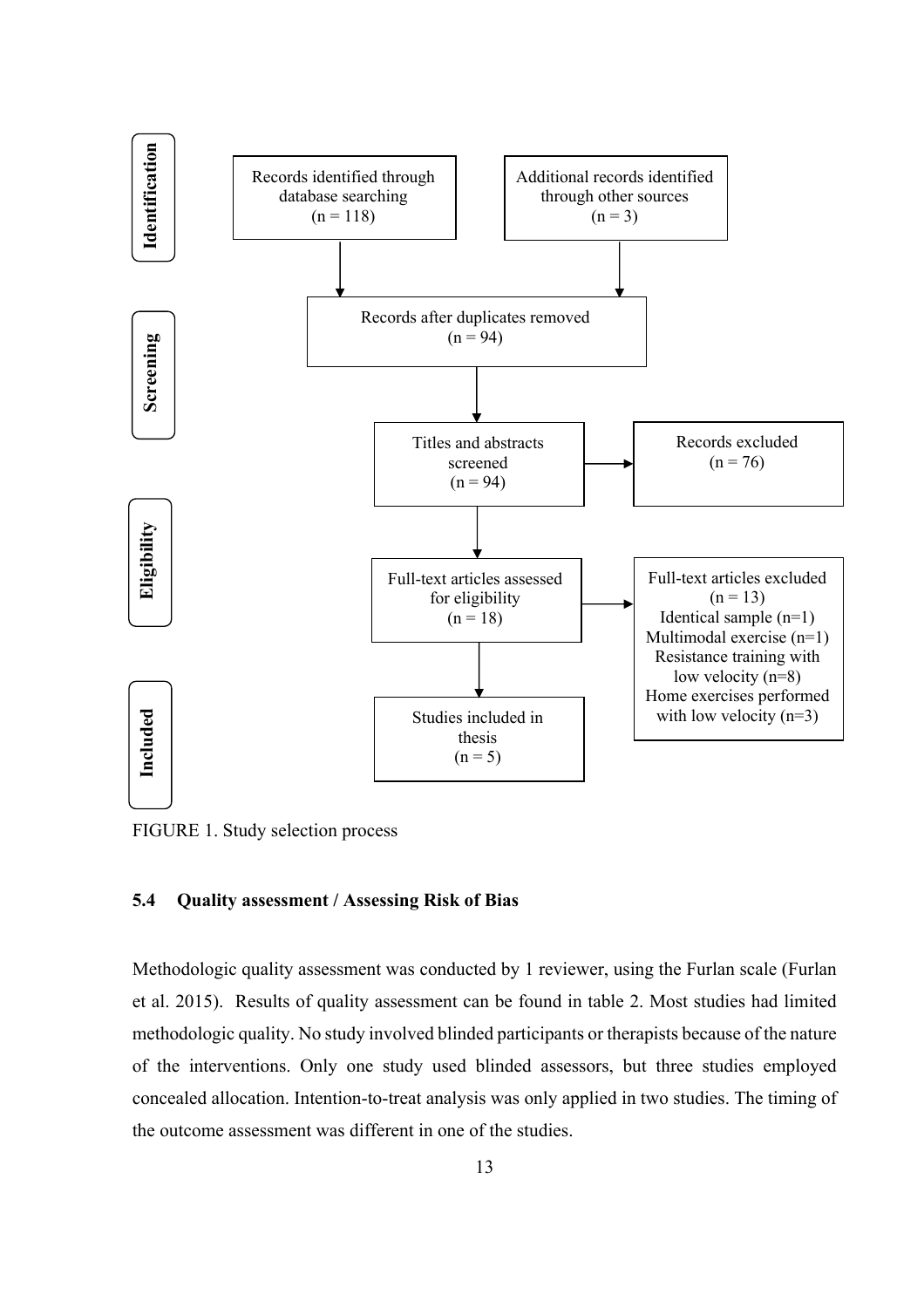

FIGURE 1. Study selection process

### **5.4 Quality assessment / Assessing Risk of Bias**

Methodologic quality assessment was conducted by 1 reviewer, using the Furlan scale (Furlan et al. 2015). Results of quality assessment can be found in table 2. Most studies had limited methodologic quality. No study involved blinded participants or therapists because of the nature of the interventions. Only one study used blinded assessors, but three studies employed concealed allocation. Intention-to-treat analysis was only applied in two studies. The timing of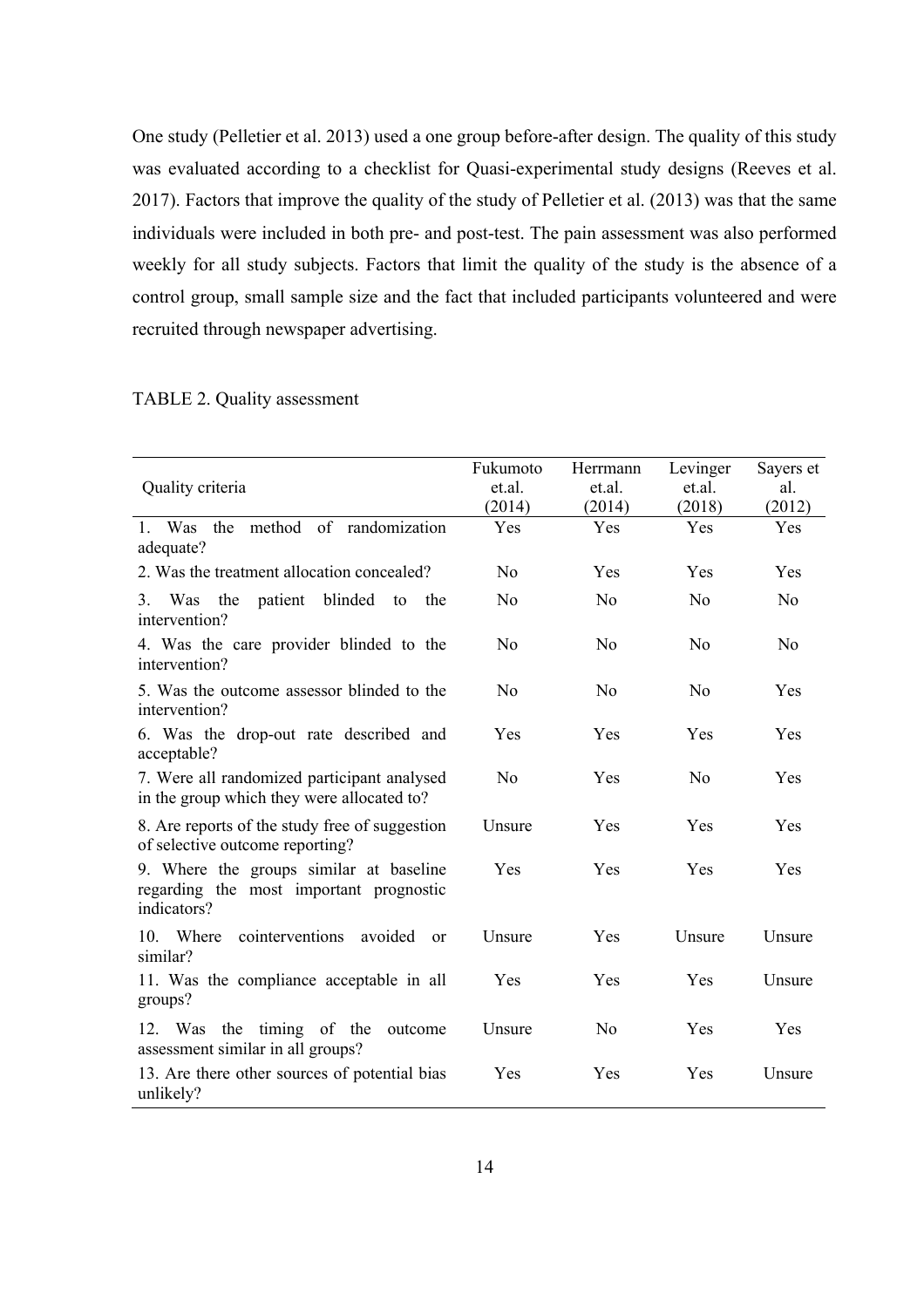One study (Pelletier et al. 2013) used a one group before-after design. The quality of this study was evaluated according to a checklist for Quasi-experimental study designs (Reeves et al. 2017). Factors that improve the quality of the study of Pelletier et al. (2013) was that the same individuals were included in both pre- and post-test. The pain assessment was also performed weekly for all study subjects. Factors that limit the quality of the study is the absence of a control group, small sample size and the fact that included participants volunteered and were recruited through newspaper advertising.

### TABLE 2. Quality assessment

|                                                                                                   | Fukumoto       | Herrmann       | Levinger       | Sayers et      |
|---------------------------------------------------------------------------------------------------|----------------|----------------|----------------|----------------|
| Quality criteria                                                                                  | et.al.         | et.al.         | et.al.         | al.            |
|                                                                                                   | (2014)         | (2014)         | (2018)         | (2012)         |
| 1. Was the method of randomization<br>adequate?                                                   | Yes            | Yes            | Yes            | Yes            |
| 2. Was the treatment allocation concealed?                                                        | N <sub>o</sub> | Yes            | Yes            | Yes            |
| patient blinded to<br>3. Was the<br>the<br>intervention?                                          | N <sub>o</sub> | N <sub>o</sub> | N <sub>o</sub> | N <sub>0</sub> |
| 4. Was the care provider blinded to the<br>intervention?                                          | N <sub>o</sub> | N <sub>o</sub> | N <sub>0</sub> | N <sub>0</sub> |
| 5. Was the outcome assessor blinded to the<br>intervention?                                       | N <sub>o</sub> | No             | No             | Yes            |
| 6. Was the drop-out rate described and<br>acceptable?                                             | Yes            | Yes            | Yes            | Yes            |
| 7. Were all randomized participant analysed<br>in the group which they were allocated to?         | N <sub>o</sub> | Yes            | No             | Yes            |
| 8. Are reports of the study free of suggestion<br>of selective outcome reporting?                 | Unsure         | Yes            | Yes            | Yes            |
| 9. Where the groups similar at baseline<br>regarding the most important prognostic<br>indicators? | Yes            | Yes            | Yes            | Yes            |
| Where<br>cointerventions avoided<br>10.<br><sub>or</sub><br>similar?                              | Unsure         | Yes            | Unsure         | Unsure         |
| 11. Was the compliance acceptable in all<br>groups?                                               | Yes            | Yes            | Yes            | Unsure         |
| 12. Was the timing of the outcome<br>assessment similar in all groups?                            | Unsure         | No             | Yes            | Yes            |
| 13. Are there other sources of potential bias<br>unlikely?                                        | Yes            | Yes            | Yes            | Unsure         |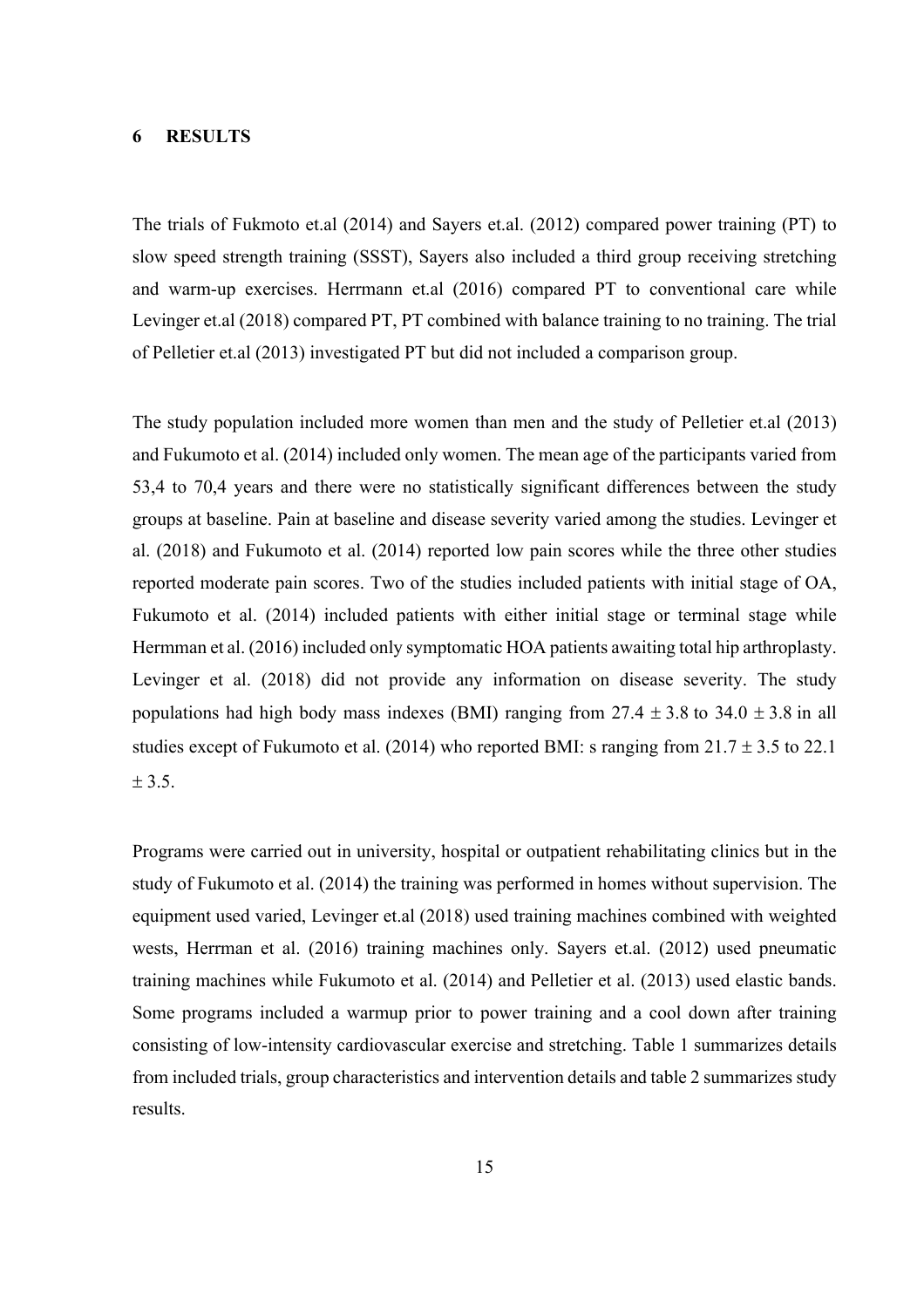### **6 RESULTS**

The trials of Fukmoto et.al (2014) and Sayers et.al. (2012) compared power training (PT) to slow speed strength training (SSST), Sayers also included a third group receiving stretching and warm-up exercises. Herrmann et.al (2016) compared PT to conventional care while Levinger et.al (2018) compared PT, PT combined with balance training to no training. The trial of Pelletier et.al (2013) investigated PT but did not included a comparison group.

The study population included more women than men and the study of Pelletier et.al (2013) and Fukumoto et al. (2014) included only women. The mean age of the participants varied from 53,4 to 70,4 years and there were no statistically significant differences between the study groups at baseline. Pain at baseline and disease severity varied among the studies. Levinger et al. (2018) and Fukumoto et al. (2014) reported low pain scores while the three other studies reported moderate pain scores. Two of the studies included patients with initial stage of OA, Fukumoto et al. (2014) included patients with either initial stage or terminal stage while Hermman et al. (2016) included only symptomatic HOA patients awaiting total hip arthroplasty. Levinger et al. (2018) did not provide any information on disease severity. The study populations had high body mass indexes (BMI) ranging from  $27.4 \pm 3.8$  to  $34.0 \pm 3.8$  in all studies except of Fukumoto et al. (2014) who reported BMI: s ranging from  $21.7 \pm 3.5$  to 22.1  $± 3.5.$ 

Programs were carried out in university, hospital or outpatient rehabilitating clinics but in the study of Fukumoto et al. (2014) the training was performed in homes without supervision. The equipment used varied, Levinger et.al (2018) used training machines combined with weighted wests, Herrman et al. (2016) training machines only. Sayers et.al. (2012) used pneumatic training machines while Fukumoto et al. (2014) and Pelletier et al. (2013) used elastic bands. Some programs included a warmup prior to power training and a cool down after training consisting of low-intensity cardiovascular exercise and stretching. Table 1 summarizes details from included trials, group characteristics and intervention details and table 2 summarizes study results.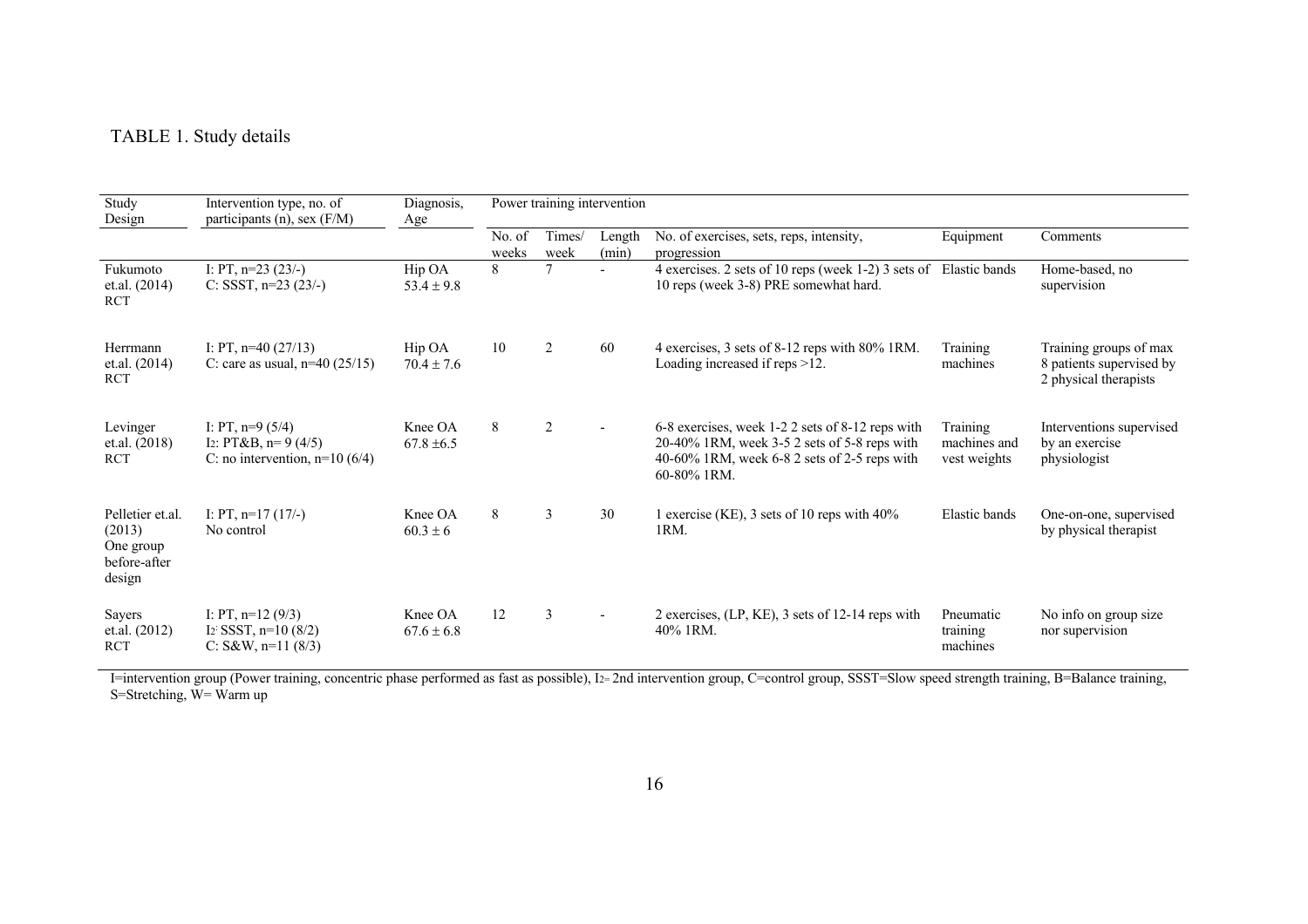## TABLE 1. Study details

| Study<br>Design                                                   | Intervention type, no. of<br>participants $(n)$ , sex $(F/M)$                 | Diagnosis,<br>Age         | Power training intervention |                |                 |                                                                                                                                                                      |                                          |                                                                             |  |
|-------------------------------------------------------------------|-------------------------------------------------------------------------------|---------------------------|-----------------------------|----------------|-----------------|----------------------------------------------------------------------------------------------------------------------------------------------------------------------|------------------------------------------|-----------------------------------------------------------------------------|--|
|                                                                   |                                                                               |                           | No. of<br>weeks             | Times/<br>week | Length<br>(min) | No. of exercises, sets, reps, intensity,<br>progression                                                                                                              | Equipment                                | Comments                                                                    |  |
| Fukumoto<br>et.al. (2014)<br><b>RCT</b>                           | I: PT, $n=23(23/-)$<br>C: SSST, $n=23$ (23/-)                                 | Hip OA<br>$53.4 \pm 9.8$  | 8                           |                |                 | 4 exercises. 2 sets of 10 reps (week 1-2) 3 sets of Elastic bands<br>10 reps (week 3-8) PRE somewhat hard.                                                           |                                          | Home-based, no<br>supervision                                               |  |
| Herrmann<br>et.al. (2014)<br><b>RCT</b>                           | I: PT, $n=40(27/13)$<br>C: care as usual, $n=40$ (25/15)                      | Hip OA<br>$70.4 \pm 7.6$  | 10                          | 2              | 60              | 4 exercises, 3 sets of 8-12 reps with 80% 1RM.<br>Loading increased if reps >12.                                                                                     | Training<br>machines                     | Training groups of max<br>8 patients supervised by<br>2 physical therapists |  |
| Levinger<br>et.al. (2018)<br><b>RCT</b>                           | I: PT, $n=9(5/4)$<br>I2: PT&B, $n=9$ (4/5)<br>C: no intervention, $n=10(6/4)$ | Knee OA<br>$67.8 \pm 6.5$ | 8                           | 2              | $\blacksquare$  | 6-8 exercises, week 1-2 2 sets of 8-12 reps with<br>$20-40\%$ 1RM, week 3-5 2 sets of 5-8 reps with<br>40-60% 1RM, week $6-8$ 2 sets of 2-5 reps with<br>60-80% 1RM. | Training<br>machines and<br>vest weights | Interventions supervised<br>by an exercise<br>physiologist                  |  |
| Pelletier et.al.<br>(2013)<br>One group<br>before-after<br>design | I: PT, $n=17(17/-)$<br>No control                                             | Knee OA<br>$60.3 \pm 6$   | 8                           | 3              | 30              | 1 exercise (KE), 3 sets of 10 reps with 40%<br>1RM.                                                                                                                  | Elastic bands                            | One-on-one, supervised<br>by physical therapist                             |  |
| Sayers<br>et.al. (2012)<br><b>RCT</b>                             | I: PT, $n=12(9/3)$<br>$I_2$ : SSST, n=10 (8/2)<br>C: S&W, $n=11$ (8/3)        | Knee OA<br>$67.6 \pm 6.8$ | 12                          | 3              |                 | 2 exercises, (LP, KE), 3 sets of 12-14 reps with<br>40% 1RM.                                                                                                         | Pneumatic<br>training<br>machines        | No info on group size<br>nor supervision                                    |  |

I=intervention group (Power training, concentric phase performed as fast as possible), I2= 2nd intervention group, C=control group, SSST=Slow speed strength training, B=Balance training, S=Stretching, W= Warm up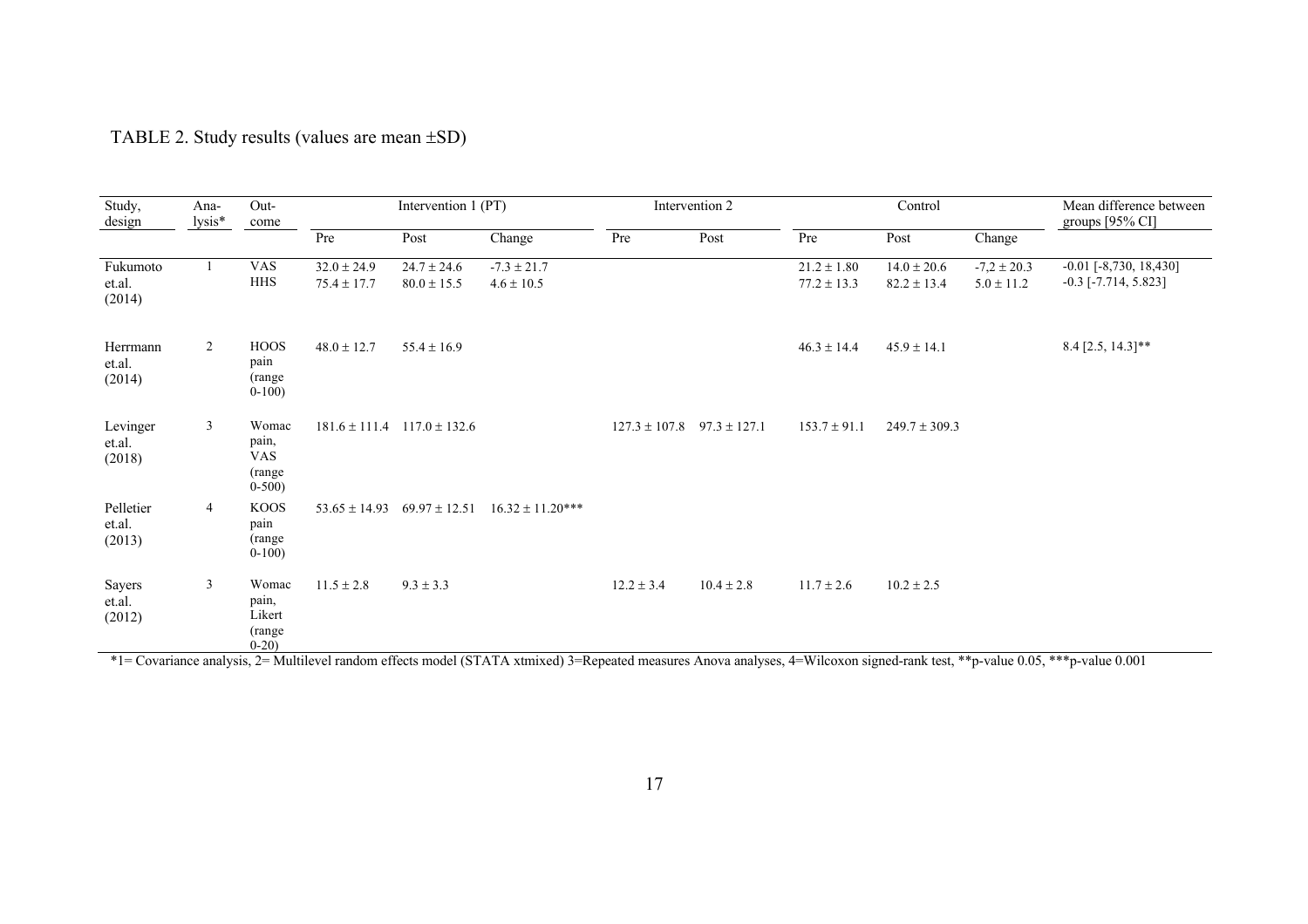## TABLE 2. Study results (values are mean ±SD)

| Study,<br>design              | Ana-<br>lysis* | Out-<br>come                                       | Intervention 1 (PT)                |                                     |                                                          | Intervention 2 |                                    | Control                            |                                    |                                   | Mean difference between<br>groups $[95\%$ CI]                 |
|-------------------------------|----------------|----------------------------------------------------|------------------------------------|-------------------------------------|----------------------------------------------------------|----------------|------------------------------------|------------------------------------|------------------------------------|-----------------------------------|---------------------------------------------------------------|
|                               |                |                                                    | Pre                                | Post                                | Change                                                   | Pre            | Post                               | Pre                                | Post                               | Change                            |                                                               |
| Fukumoto<br>et.al.<br>(2014)  |                | <b>VAS</b><br><b>HHS</b>                           | $32.0 \pm 24.9$<br>$75.4 \pm 17.7$ | $24.7 \pm 24.6$<br>$80.0 \pm 15.5$  | $-7.3 \pm 21.7$<br>$4.6 \pm 10.5$                        |                |                                    | $21.2 \pm 1.80$<br>$77.2 \pm 13.3$ | $14.0 \pm 20.6$<br>$82.2 \pm 13.4$ | $-7,2 \pm 20.3$<br>$5.0 \pm 11.2$ | $-0.01$ $[-8, 730, 18, 430]$<br>$-0.3$ [ $-7.714$ , $5.823$ ] |
| Herrmann<br>et.al.<br>(2014)  | 2              | <b>HOOS</b><br>pain<br>(range)<br>$0-100$          | $48.0 \pm 12.7$                    | $55.4 \pm 16.9$                     |                                                          |                |                                    | $46.3 \pm 14.4$                    | $45.9 \pm 14.1$                    |                                   | 8.4 [2.5, 14.3]**                                             |
| Levinger<br>et.al.<br>(2018)  | $\overline{3}$ | Womac<br>pain,<br><b>VAS</b><br>(range)<br>$0-500$ |                                    | $181.6 \pm 111.4$ $117.0 \pm 132.6$ |                                                          |                | $127.3 \pm 107.8$ 97.3 $\pm$ 127.1 | $153.7 \pm 91.1$                   | $249.7 \pm 309.3$                  |                                   |                                                               |
| Pelletier<br>et.al.<br>(2013) | 4              | KOOS<br>pain<br>(range)<br>$0-100$                 |                                    |                                     | $53.65 \pm 14.93$ $69.97 \pm 12.51$ $16.32 \pm 11.20***$ |                |                                    |                                    |                                    |                                   |                                                               |
| Sayers<br>et.al.<br>(2012)    | 3              | Womac<br>pain,<br>Likert<br>(range)<br>$0-20$      | $11.5 \pm 2.8$                     | $9.3 \pm 3.3$                       |                                                          | $12.2 \pm 3.4$ | $10.4 \pm 2.8$                     | $11.7 \pm 2.6$                     | $10.2 \pm 2.5$                     |                                   |                                                               |

\*1= Covariance analysis, 2= Multilevel random effects model (STATA xtmixed) 3=Repeated measures Anova analyses, 4=Wilcoxon signed-rank test, \*\*p-value 0.05, \*\*\*p-value 0.001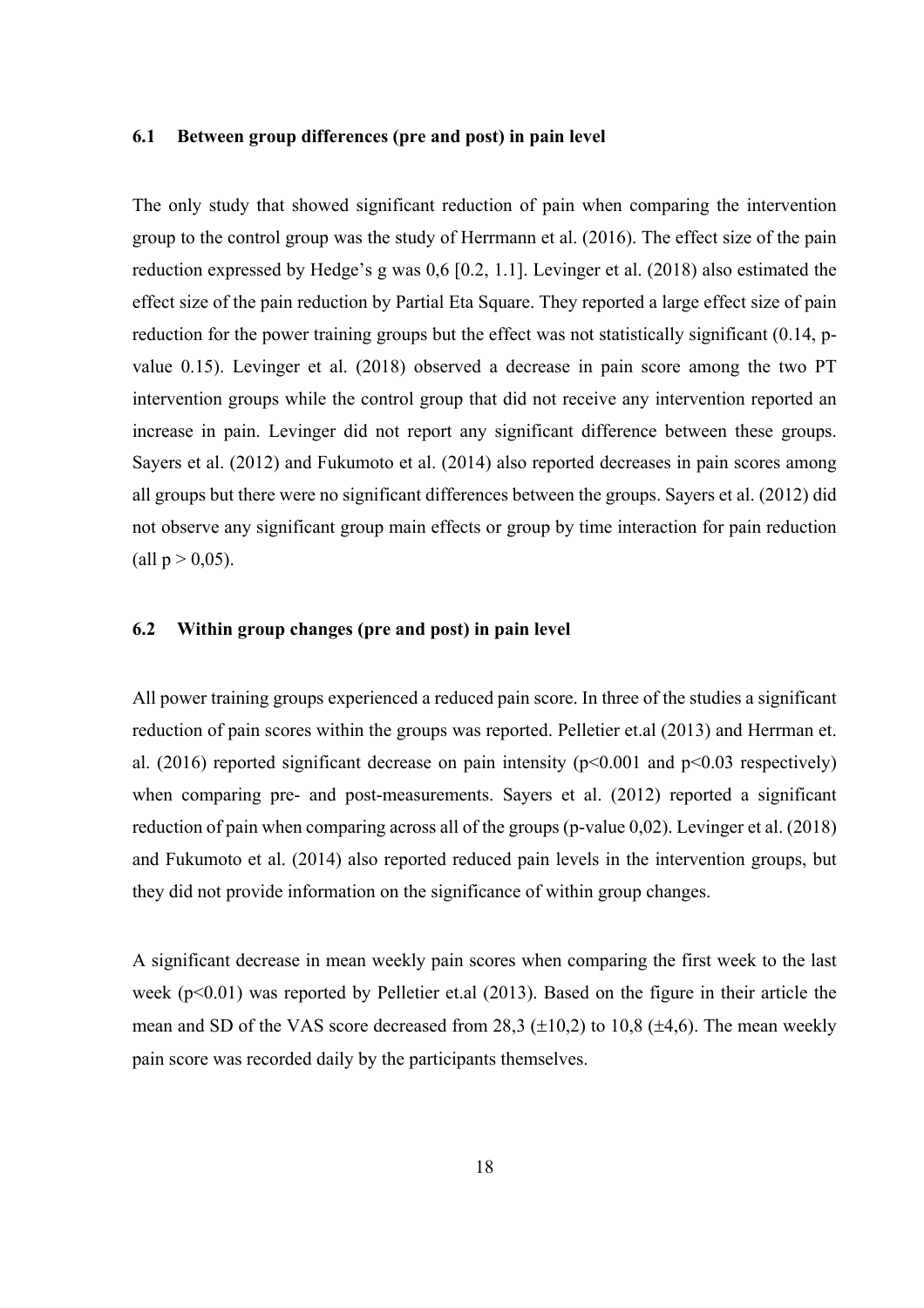### **6.1 Between group differences (pre and post) in pain level**

The only study that showed significant reduction of pain when comparing the intervention group to the control group was the study of Herrmann et al. (2016). The effect size of the pain reduction expressed by Hedge's g was 0,6 [0.2, 1.1]. Levinger et al. (2018) also estimated the effect size of the pain reduction by Partial Eta Square. They reported a large effect size of pain reduction for the power training groups but the effect was not statistically significant (0.14, pvalue 0.15). Levinger et al. (2018) observed a decrease in pain score among the two PT intervention groups while the control group that did not receive any intervention reported an increase in pain. Levinger did not report any significant difference between these groups. Sayers et al. (2012) and Fukumoto et al. (2014) also reported decreases in pain scores among all groups but there were no significant differences between the groups. Sayers et al. (2012) did not observe any significant group main effects or group by time interaction for pain reduction (all  $p > 0.05$ ).

### **6.2 Within group changes (pre and post) in pain level**

All power training groups experienced a reduced pain score. In three of the studies a significant reduction of pain scores within the groups was reported. Pelletier et.al (2013) and Herrman et. al. (2016) reported significant decrease on pain intensity ( $p<0.001$  and  $p<0.03$  respectively) when comparing pre- and post-measurements. Sayers et al. (2012) reported a significant reduction of pain when comparing across all of the groups (p-value 0,02). Levinger et al. (2018) and Fukumoto et al. (2014) also reported reduced pain levels in the intervention groups, but they did not provide information on the significance of within group changes.

A significant decrease in mean weekly pain scores when comparing the first week to the last week (p<0.01) was reported by Pelletier et.al (2013). Based on the figure in their article the mean and SD of the VAS score decreased from 28,3  $(\pm 10,2)$  to 10,8  $(\pm 4,6)$ . The mean weekly pain score was recorded daily by the participants themselves.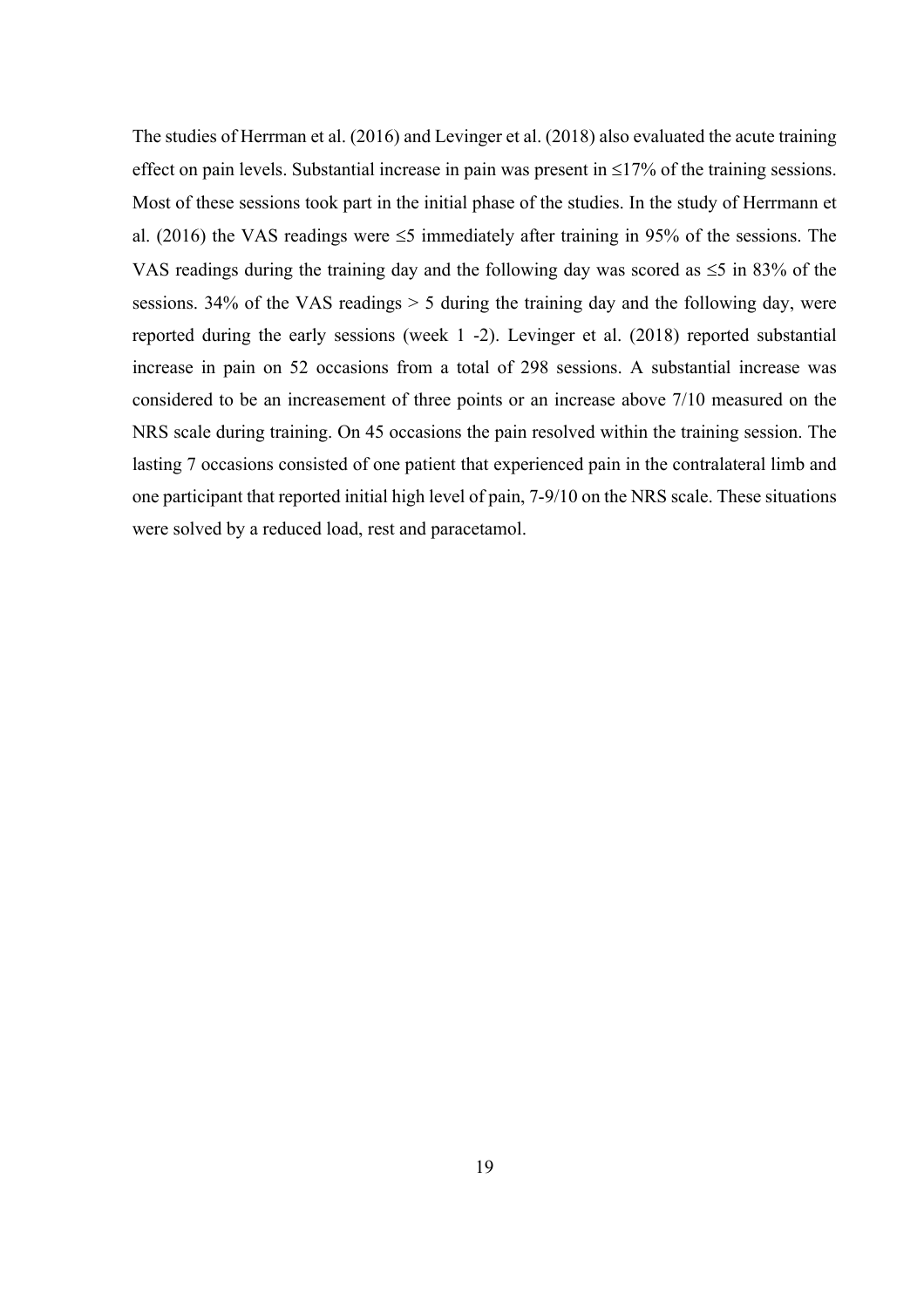The studies of Herrman et al. (2016) and Levinger et al. (2018) also evaluated the acute training effect on pain levels. Substantial increase in pain was present in  $\leq 17\%$  of the training sessions. Most of these sessions took part in the initial phase of the studies. In the study of Herrmann et al. (2016) the VAS readings were  $\leq$ 5 immediately after training in 95% of the sessions. The VAS readings during the training day and the following day was scored as  $\leq 5$  in 83% of the sessions. 34% of the VAS readings  $> 5$  during the training day and the following day, were reported during the early sessions (week 1 -2). Levinger et al. (2018) reported substantial increase in pain on 52 occasions from a total of 298 sessions. A substantial increase was considered to be an increasement of three points or an increase above 7/10 measured on the NRS scale during training. On 45 occasions the pain resolved within the training session. The lasting 7 occasions consisted of one patient that experienced pain in the contralateral limb and one participant that reported initial high level of pain, 7-9/10 on the NRS scale. These situations were solved by a reduced load, rest and paracetamol.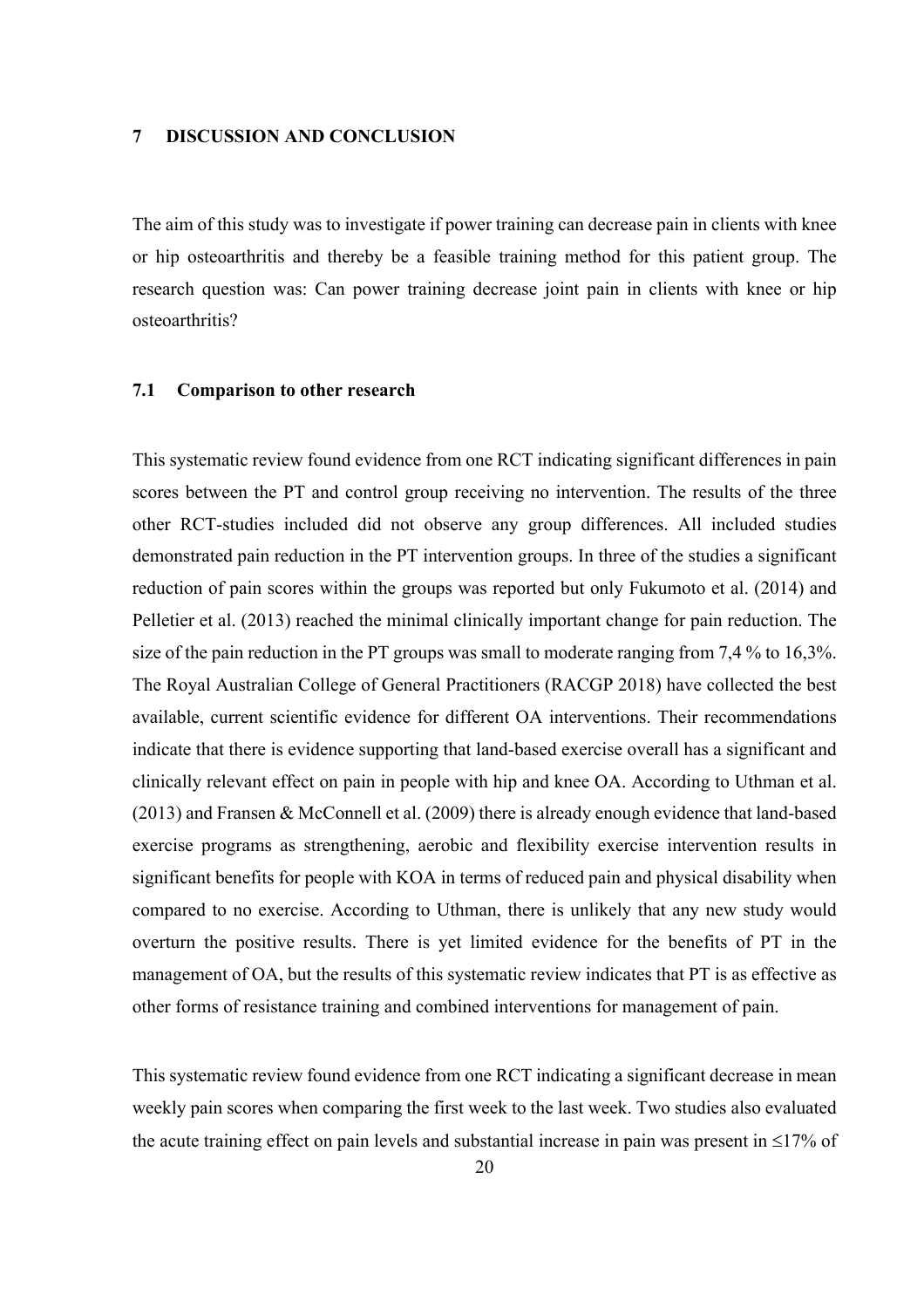#### **7 DISCUSSION AND CONCLUSION**

The aim of this study was to investigate if power training can decrease pain in clients with knee or hip osteoarthritis and thereby be a feasible training method for this patient group. The research question was: Can power training decrease joint pain in clients with knee or hip osteoarthritis?

### **7.1 Comparison to other research**

This systematic review found evidence from one RCT indicating significant differences in pain scores between the PT and control group receiving no intervention. The results of the three other RCT-studies included did not observe any group differences. All included studies demonstrated pain reduction in the PT intervention groups. In three of the studies a significant reduction of pain scores within the groups was reported but only Fukumoto et al. (2014) and Pelletier et al. (2013) reached the minimal clinically important change for pain reduction. The size of the pain reduction in the PT groups was small to moderate ranging from 7,4 % to 16,3%. The Royal Australian College of General Practitioners (RACGP 2018) have collected the best available, current scientific evidence for different OA interventions. Their recommendations indicate that there is evidence supporting that land-based exercise overall has a significant and clinically relevant effect on pain in people with hip and knee OA. According to Uthman et al. (2013) and Fransen & McConnell et al. (2009) there is already enough evidence that land-based exercise programs as strengthening, aerobic and flexibility exercise intervention results in significant benefits for people with KOA in terms of reduced pain and physical disability when compared to no exercise. According to Uthman, there is unlikely that any new study would overturn the positive results. There is yet limited evidence for the benefits of PT in the management of OA, but the results of this systematic review indicates that PT is as effective as other forms of resistance training and combined interventions for management of pain.

This systematic review found evidence from one RCT indicating a significant decrease in mean weekly pain scores when comparing the first week to the last week. Two studies also evaluated the acute training effect on pain levels and substantial increase in pain was present in  $\leq$ 17% of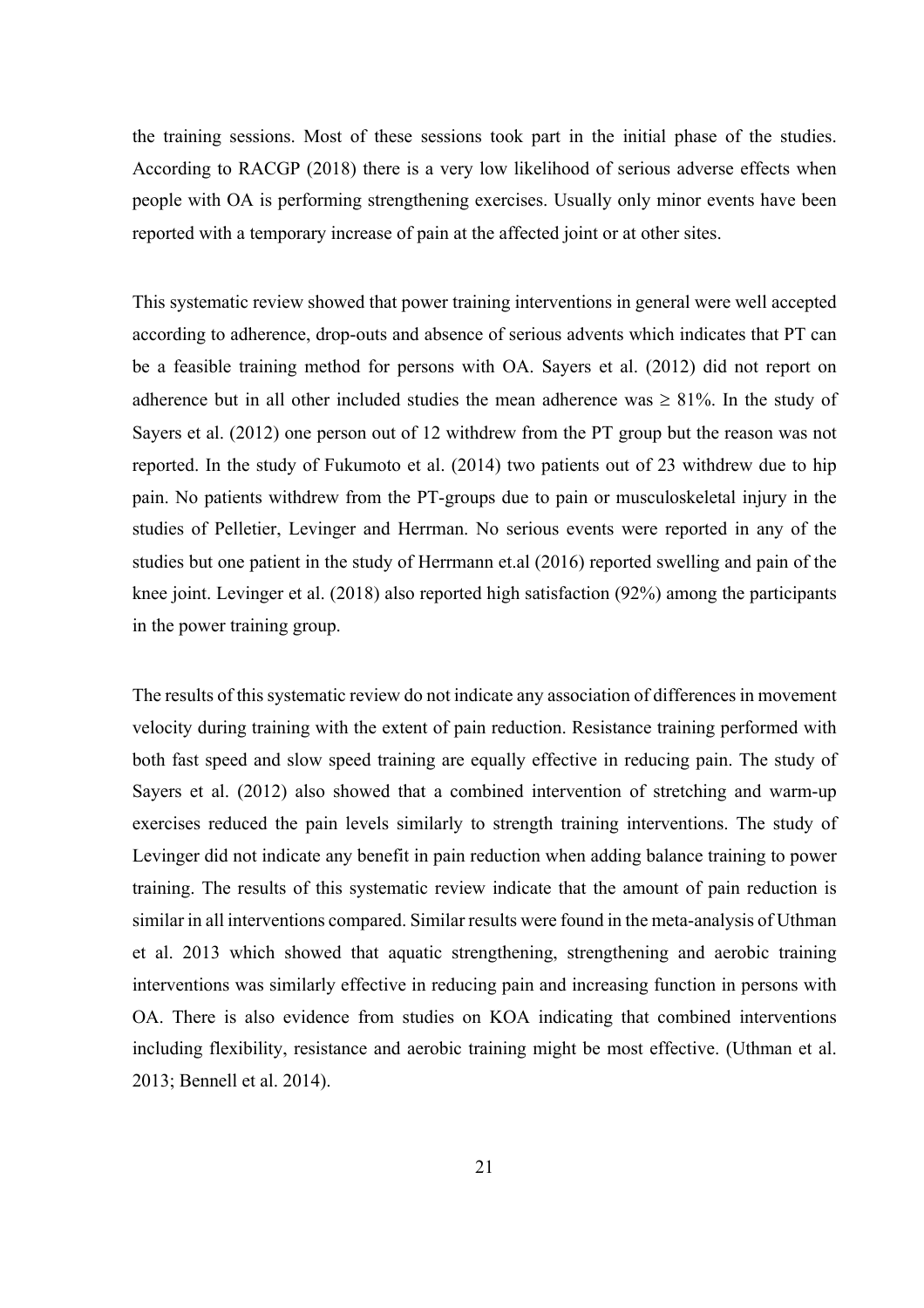the training sessions. Most of these sessions took part in the initial phase of the studies. According to RACGP (2018) there is a very low likelihood of serious adverse effects when people with OA is performing strengthening exercises. Usually only minor events have been reported with a temporary increase of pain at the affected joint or at other sites.

This systematic review showed that power training interventions in general were well accepted according to adherence, drop-outs and absence of serious advents which indicates that PT can be a feasible training method for persons with OA. Sayers et al. (2012) did not report on adherence but in all other included studies the mean adherence was  $\geq 81\%$ . In the study of Sayers et al. (2012) one person out of 12 withdrew from the PT group but the reason was not reported. In the study of Fukumoto et al. (2014) two patients out of 23 withdrew due to hip pain. No patients withdrew from the PT-groups due to pain or musculoskeletal injury in the studies of Pelletier, Levinger and Herrman. No serious events were reported in any of the studies but one patient in the study of Herrmann et.al (2016) reported swelling and pain of the knee joint. Levinger et al. (2018) also reported high satisfaction (92%) among the participants in the power training group.

The results of this systematic review do not indicate any association of differences in movement velocity during training with the extent of pain reduction. Resistance training performed with both fast speed and slow speed training are equally effective in reducing pain. The study of Sayers et al. (2012) also showed that a combined intervention of stretching and warm-up exercises reduced the pain levels similarly to strength training interventions. The study of Levinger did not indicate any benefit in pain reduction when adding balance training to power training. The results of this systematic review indicate that the amount of pain reduction is similar in all interventions compared. Similar results were found in the meta-analysis of Uthman et al. 2013 which showed that aquatic strengthening, strengthening and aerobic training interventions was similarly effective in reducing pain and increasing function in persons with OA. There is also evidence from studies on KOA indicating that combined interventions including flexibility, resistance and aerobic training might be most effective. (Uthman et al. 2013; Bennell et al. 2014).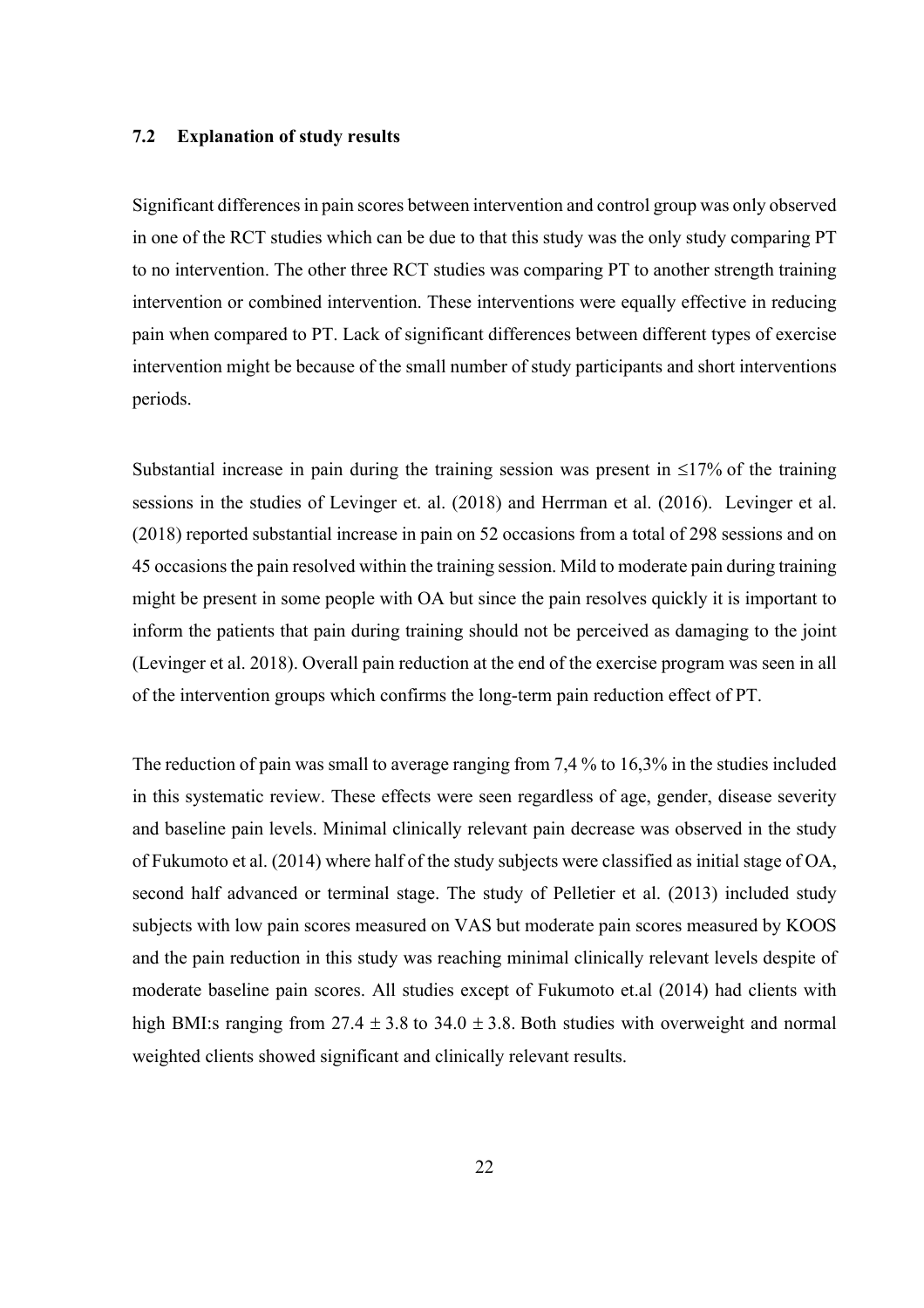### **7.2 Explanation of study results**

Significant differences in pain scores between intervention and control group was only observed in one of the RCT studies which can be due to that this study was the only study comparing PT to no intervention. The other three RCT studies was comparing PT to another strength training intervention or combined intervention. These interventions were equally effective in reducing pain when compared to PT. Lack of significant differences between different types of exercise intervention might be because of the small number of study participants and short interventions periods.

Substantial increase in pain during the training session was present in  $\leq 17\%$  of the training sessions in the studies of Levinger et. al. (2018) and Herrman et al. (2016). Levinger et al. (2018) reported substantial increase in pain on 52 occasions from a total of 298 sessions and on 45 occasions the pain resolved within the training session. Mild to moderate pain during training might be present in some people with OA but since the pain resolves quickly it is important to inform the patients that pain during training should not be perceived as damaging to the joint (Levinger et al. 2018). Overall pain reduction at the end of the exercise program was seen in all of the intervention groups which confirms the long-term pain reduction effect of PT.

The reduction of pain was small to average ranging from 7,4 % to 16,3% in the studies included in this systematic review. These effects were seen regardless of age, gender, disease severity and baseline pain levels. Minimal clinically relevant pain decrease was observed in the study of Fukumoto et al. (2014) where half of the study subjects were classified as initial stage of OA, second half advanced or terminal stage. The study of Pelletier et al. (2013) included study subjects with low pain scores measured on VAS but moderate pain scores measured by KOOS and the pain reduction in this study was reaching minimal clinically relevant levels despite of moderate baseline pain scores. All studies except of Fukumoto et.al (2014) had clients with high BMI:s ranging from  $27.4 \pm 3.8$  to  $34.0 \pm 3.8$ . Both studies with overweight and normal weighted clients showed significant and clinically relevant results.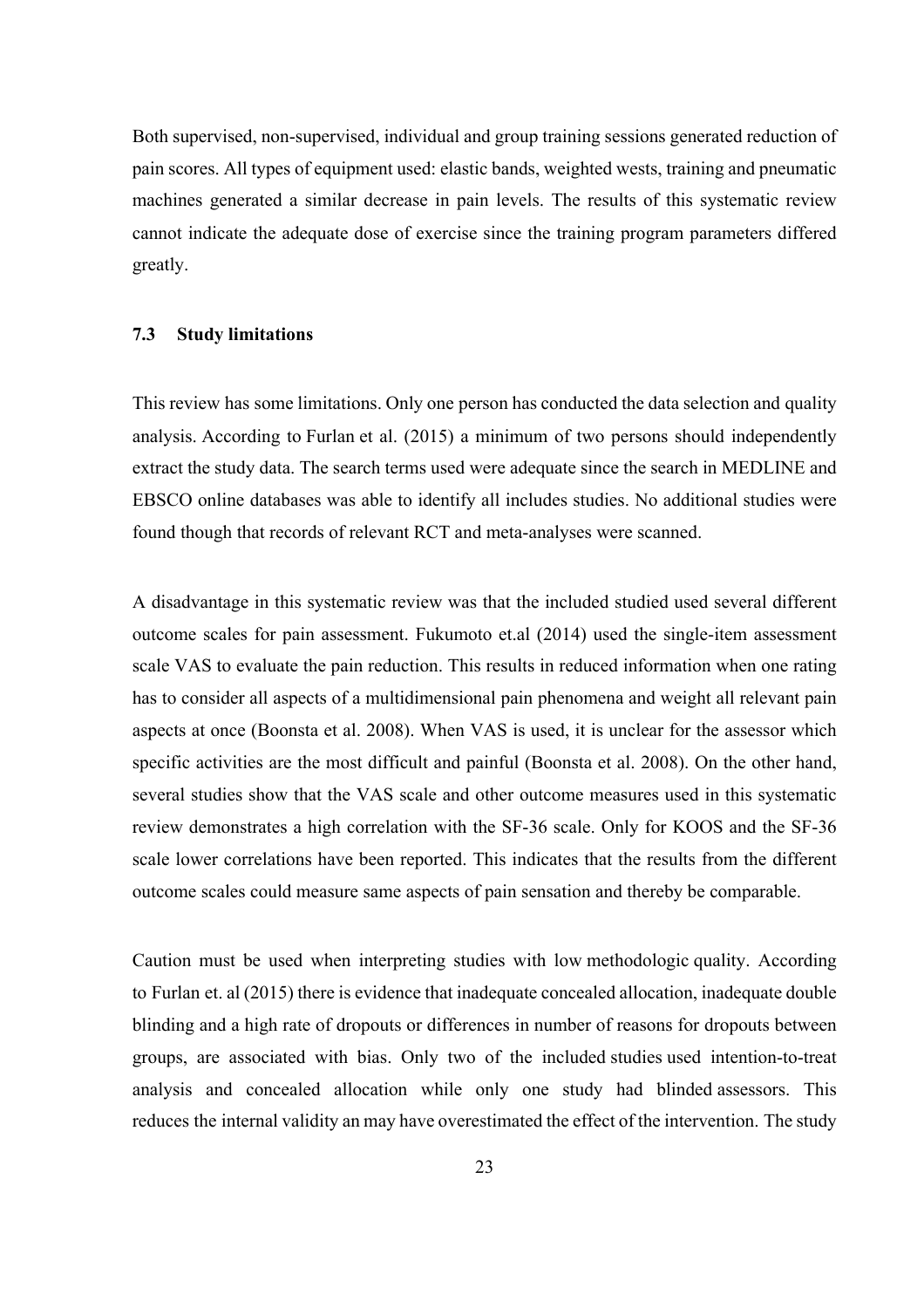Both supervised, non-supervised, individual and group training sessions generated reduction of pain scores. All types of equipment used: elastic bands, weighted wests, training and pneumatic machines generated a similar decrease in pain levels. The results of this systematic review cannot indicate the adequate dose of exercise since the training program parameters differed greatly.

### **7.3 Study limitations**

This review has some limitations. Only one person has conducted the data selection and quality analysis. According to Furlan et al. (2015) a minimum of two persons should independently extract the study data. The search terms used were adequate since the search in MEDLINE and EBSCO online databases was able to identify all includes studies. No additional studies were found though that records of relevant RCT and meta-analyses were scanned.

A disadvantage in this systematic review was that the included studied used several different outcome scales for pain assessment. Fukumoto et.al (2014) used the single-item assessment scale VAS to evaluate the pain reduction. This results in reduced information when one rating has to consider all aspects of a multidimensional pain phenomena and weight all relevant pain aspects at once (Boonsta et al. 2008). When VAS is used, it is unclear for the assessor which specific activities are the most difficult and painful (Boonsta et al. 2008). On the other hand, several studies show that the VAS scale and other outcome measures used in this systematic review demonstrates a high correlation with the SF-36 scale. Only for KOOS and the SF-36 scale lower correlations have been reported. This indicates that the results from the different outcome scales could measure same aspects of pain sensation and thereby be comparable.

Caution must be used when interpreting studies with low methodologic quality. According to Furlan et. al (2015) there is evidence that inadequate concealed allocation, inadequate double blinding and a high rate of dropouts or differences in number of reasons for dropouts between groups, are associated with bias. Only two of the included studies used intention-to-treat analysis and concealed allocation while only one study had blinded assessors. This reduces the internal validity an may have overestimated the effect of the intervention. The study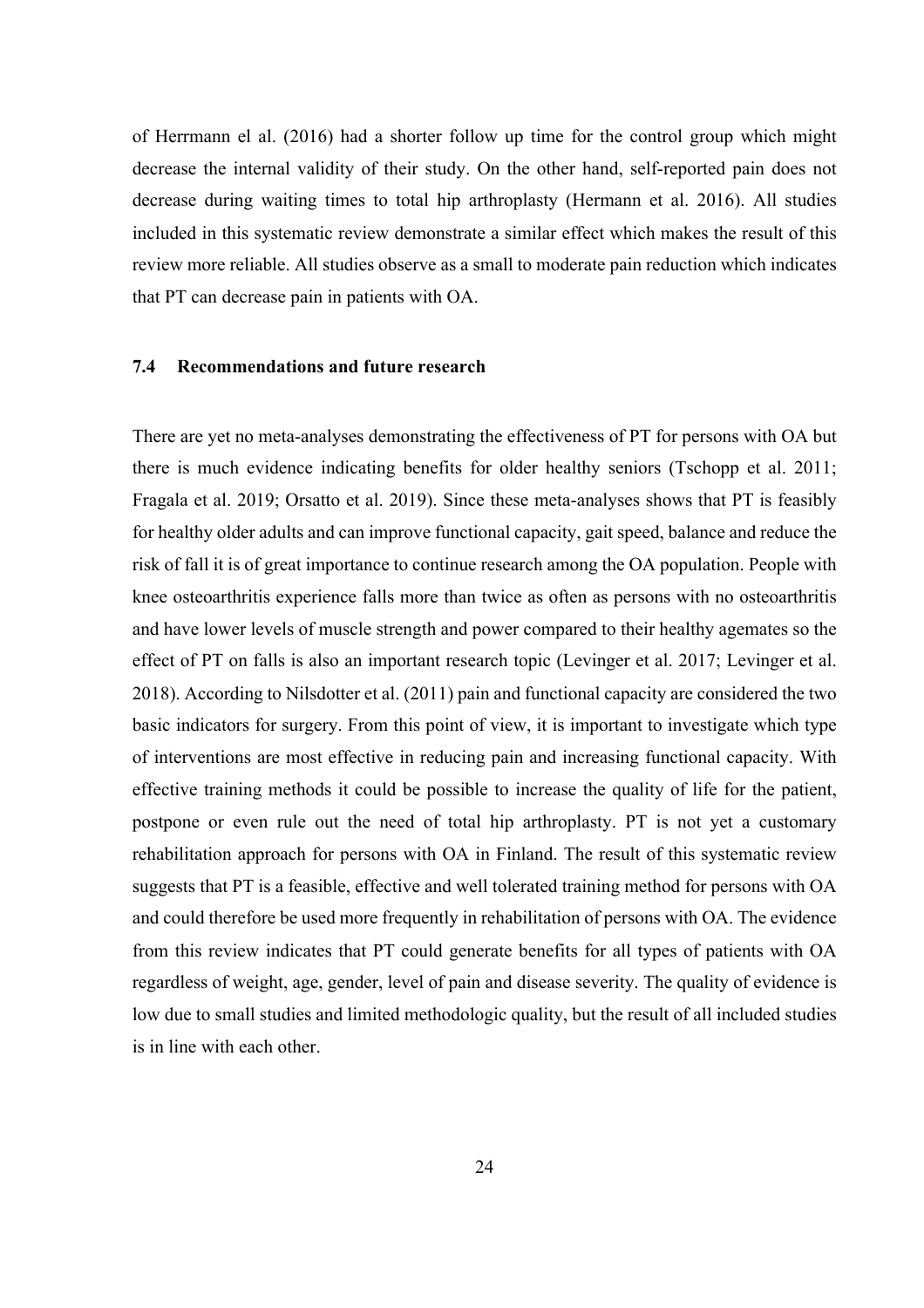of Herrmann el al. (2016) had a shorter follow up time for the control group which might decrease the internal validity of their study. On the other hand, self-reported pain does not decrease during waiting times to total hip arthroplasty (Hermann et al. 2016). All studies included in this systematic review demonstrate a similar effect which makes the result of this review more reliable. All studies observe as a small to moderate pain reduction which indicates that PT can decrease pain in patients with OA.

### **7.4 Recommendations and future research**

There are yet no meta-analyses demonstrating the effectiveness of PT for persons with OA but there is much evidence indicating benefits for older healthy seniors (Tschopp et al. 2011; Fragala et al. 2019; Orsatto et al. 2019). Since these meta-analyses shows that PT is feasibly for healthy older adults and can improve functional capacity, gait speed, balance and reduce the risk of fall it is of great importance to continue research among the OA population. People with knee osteoarthritis experience falls more than twice as often as persons with no osteoarthritis and have lower levels of muscle strength and power compared to their healthy agemates so the effect of PT on falls is also an important research topic (Levinger et al. 2017; Levinger et al. 2018). According to Nilsdotter et al. (2011) pain and functional capacity are considered the two basic indicators for surgery. From this point of view, it is important to investigate which type of interventions are most effective in reducing pain and increasing functional capacity. With effective training methods it could be possible to increase the quality of life for the patient, postpone or even rule out the need of total hip arthroplasty. PT is not yet a customary rehabilitation approach for persons with OA in Finland. The result of this systematic review suggests that PT is a feasible, effective and well tolerated training method for persons with OA and could therefore be used more frequently in rehabilitation of persons with OA. The evidence from this review indicates that PT could generate benefits for all types of patients with OA regardless of weight, age, gender, level of pain and disease severity. The quality of evidence is low due to small studies and limited methodologic quality, but the result of all included studies is in line with each other.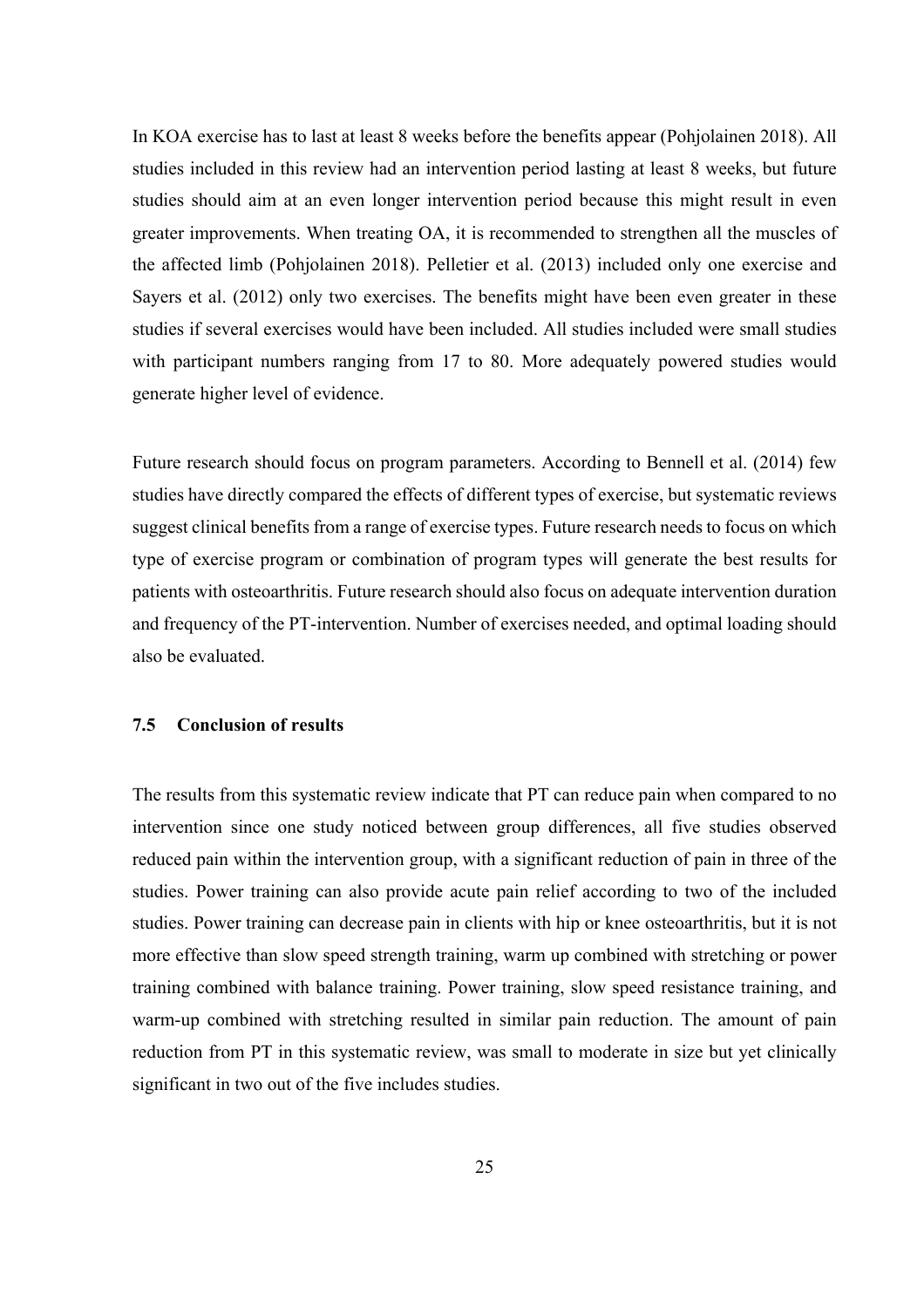In KOA exercise has to last at least 8 weeks before the benefits appear (Pohjolainen 2018). All studies included in this review had an intervention period lasting at least 8 weeks, but future studies should aim at an even longer intervention period because this might result in even greater improvements. When treating OA, it is recommended to strengthen all the muscles of the affected limb (Pohjolainen 2018). Pelletier et al. (2013) included only one exercise and Sayers et al. (2012) only two exercises. The benefits might have been even greater in these studies if several exercises would have been included. All studies included were small studies with participant numbers ranging from 17 to 80. More adequately powered studies would generate higher level of evidence.

Future research should focus on program parameters. According to Bennell et al. (2014) few studies have directly compared the effects of different types of exercise, but systematic reviews suggest clinical benefits from a range of exercise types. Future research needs to focus on which type of exercise program or combination of program types will generate the best results for patients with osteoarthritis. Future research should also focus on adequate intervention duration and frequency of the PT-intervention. Number of exercises needed, and optimal loading should also be evaluated.

### **7.5 Conclusion of results**

The results from this systematic review indicate that PT can reduce pain when compared to no intervention since one study noticed between group differences, all five studies observed reduced pain within the intervention group, with a significant reduction of pain in three of the studies. Power training can also provide acute pain relief according to two of the included studies. Power training can decrease pain in clients with hip or knee osteoarthritis, but it is not more effective than slow speed strength training, warm up combined with stretching or power training combined with balance training. Power training, slow speed resistance training, and warm-up combined with stretching resulted in similar pain reduction. The amount of pain reduction from PT in this systematic review, was small to moderate in size but yet clinically significant in two out of the five includes studies.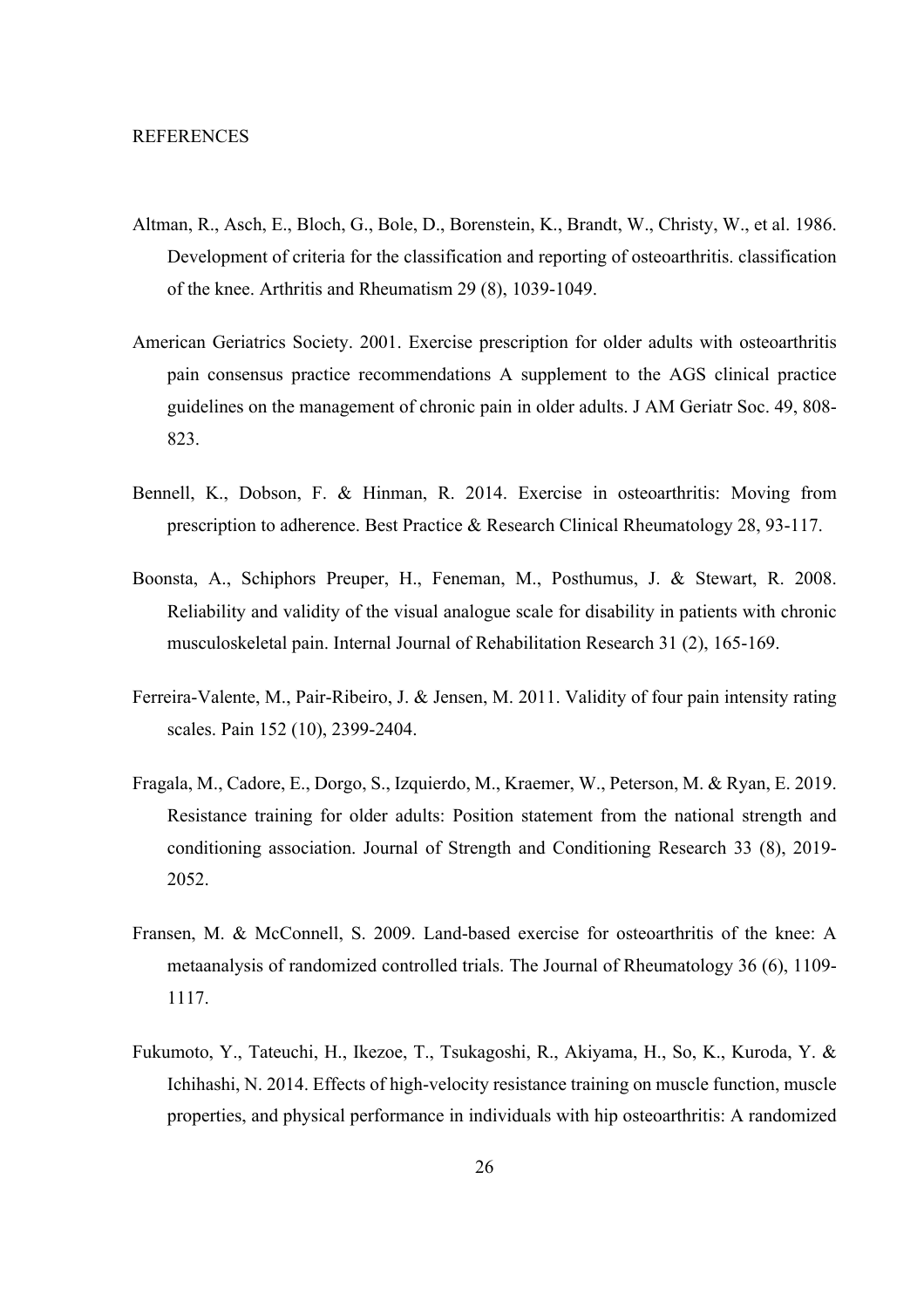- Altman, R., Asch, E., Bloch, G., Bole, D., Borenstein, K., Brandt, W., Christy, W., et al. 1986. Development of criteria for the classification and reporting of osteoarthritis. classification of the knee. Arthritis and Rheumatism 29 (8), 1039-1049.
- American Geriatrics Society. 2001. Exercise prescription for older adults with osteoarthritis pain consensus practice recommendations A supplement to the AGS clinical practice guidelines on the management of chronic pain in older adults. J AM Geriatr Soc. 49, 808- 823.
- Bennell, K., Dobson, F. & Hinman, R. 2014. Exercise in osteoarthritis: Moving from prescription to adherence. Best Practice & Research Clinical Rheumatology 28, 93-117.
- Boonsta, A., Schiphors Preuper, H., Feneman, M., Posthumus, J. & Stewart, R. 2008. Reliability and validity of the visual analogue scale for disability in patients with chronic musculoskeletal pain. Internal Journal of Rehabilitation Research 31 (2), 165-169.
- Ferreira-Valente, M., Pair-Ribeiro, J. & Jensen, M. 2011. Validity of four pain intensity rating scales. Pain 152 (10), 2399-2404.
- Fragala, M., Cadore, E., Dorgo, S., Izquierdo, M., Kraemer, W., Peterson, M. & Ryan, E. 2019. Resistance training for older adults: Position statement from the national strength and conditioning association. Journal of Strength and Conditioning Research 33 (8), 2019- 2052.
- Fransen, M. & McConnell, S. 2009. Land-based exercise for osteoarthritis of the knee: A metaanalysis of randomized controlled trials. The Journal of Rheumatology 36 (6), 1109- 1117.
- Fukumoto, Y., Tateuchi, H., Ikezoe, T., Tsukagoshi, R., Akiyama, H., So, K., Kuroda, Y. & Ichihashi, N. 2014. Effects of high-velocity resistance training on muscle function, muscle properties, and physical performance in individuals with hip osteoarthritis: A randomized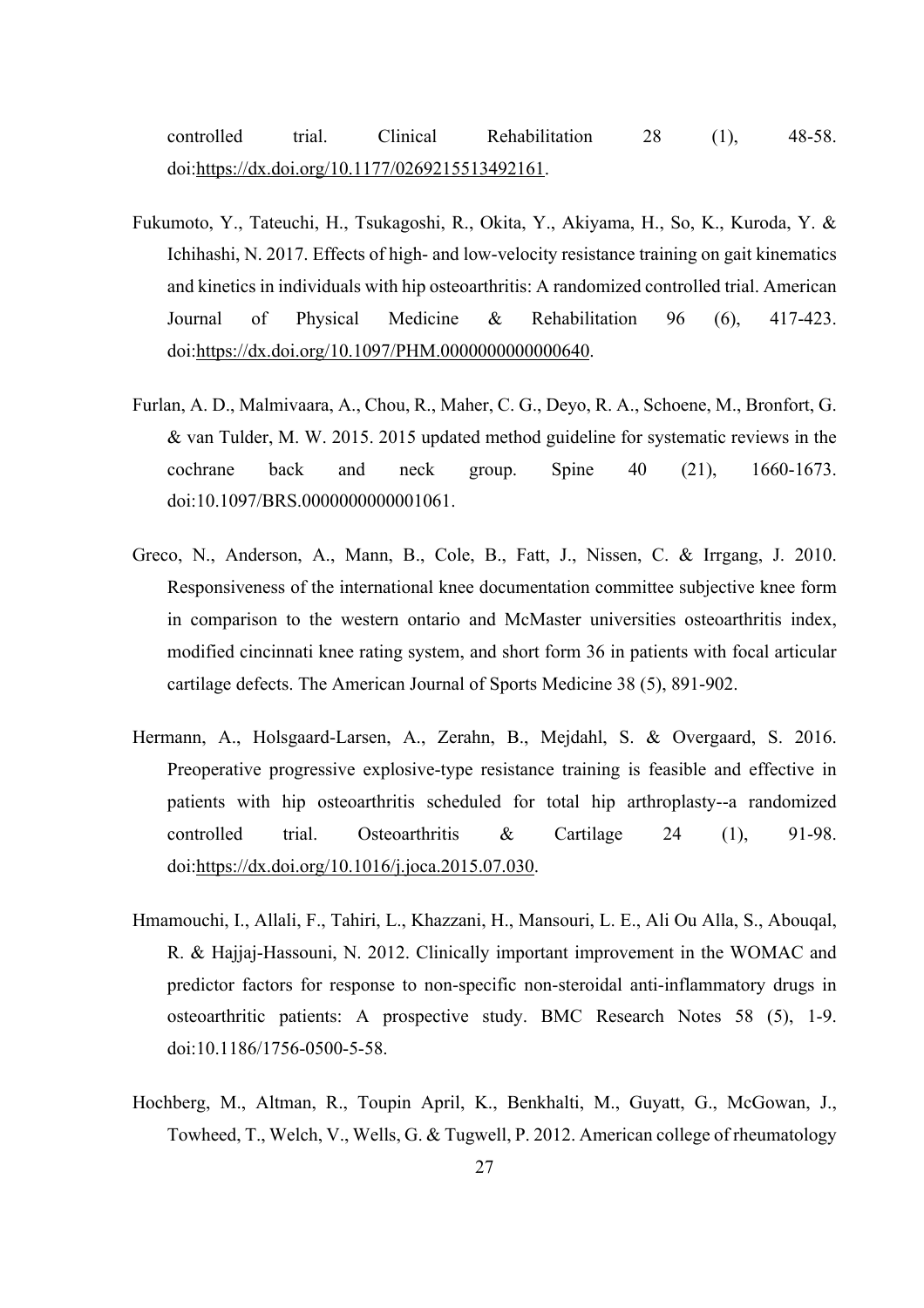controlled trial. Clinical Rehabilitation 28 (1), 48-58. doi:https://dx.doi.org/10.1177/0269215513492161.

- Fukumoto, Y., Tateuchi, H., Tsukagoshi, R., Okita, Y., Akiyama, H., So, K., Kuroda, Y. & Ichihashi, N. 2017. Effects of high- and low-velocity resistance training on gait kinematics and kinetics in individuals with hip osteoarthritis: A randomized controlled trial. American Journal of Physical Medicine & Rehabilitation 96 (6), 417-423. doi:https://dx.doi.org/10.1097/PHM.0000000000000640.
- Furlan, A. D., Malmivaara, A., Chou, R., Maher, C. G., Deyo, R. A., Schoene, M., Bronfort, G. & van Tulder, M. W. 2015. 2015 updated method guideline for systematic reviews in the cochrane back and neck group. Spine 40 (21), 1660-1673. doi:10.1097/BRS.0000000000001061.
- Greco, N., Anderson, A., Mann, B., Cole, B., Fatt, J., Nissen, C. & Irrgang, J. 2010. Responsiveness of the international knee documentation committee subjective knee form in comparison to the western ontario and McMaster universities osteoarthritis index, modified cincinnati knee rating system, and short form 36 in patients with focal articular cartilage defects. The American Journal of Sports Medicine 38 (5), 891-902.
- Hermann, A., Holsgaard-Larsen, A., Zerahn, B., Mejdahl, S. & Overgaard, S. 2016. Preoperative progressive explosive-type resistance training is feasible and effective in patients with hip osteoarthritis scheduled for total hip arthroplasty--a randomized controlled trial. Osteoarthritis & Cartilage 24 (1), 91-98. doi:https://dx.doi.org/10.1016/j.joca.2015.07.030.
- Hmamouchi, I., Allali, F., Tahiri, L., Khazzani, H., Mansouri, L. E., Ali Ou Alla, S., Abouqal, R. & Hajjaj-Hassouni, N. 2012. Clinically important improvement in the WOMAC and predictor factors for response to non-specific non-steroidal anti-inflammatory drugs in osteoarthritic patients: A prospective study. BMC Research Notes 58 (5), 1-9. doi:10.1186/1756-0500-5-58.
- Hochberg, M., Altman, R., Toupin April, K., Benkhalti, M., Guyatt, G., McGowan, J., Towheed, T., Welch, V., Wells, G. & Tugwell, P. 2012. American college of rheumatology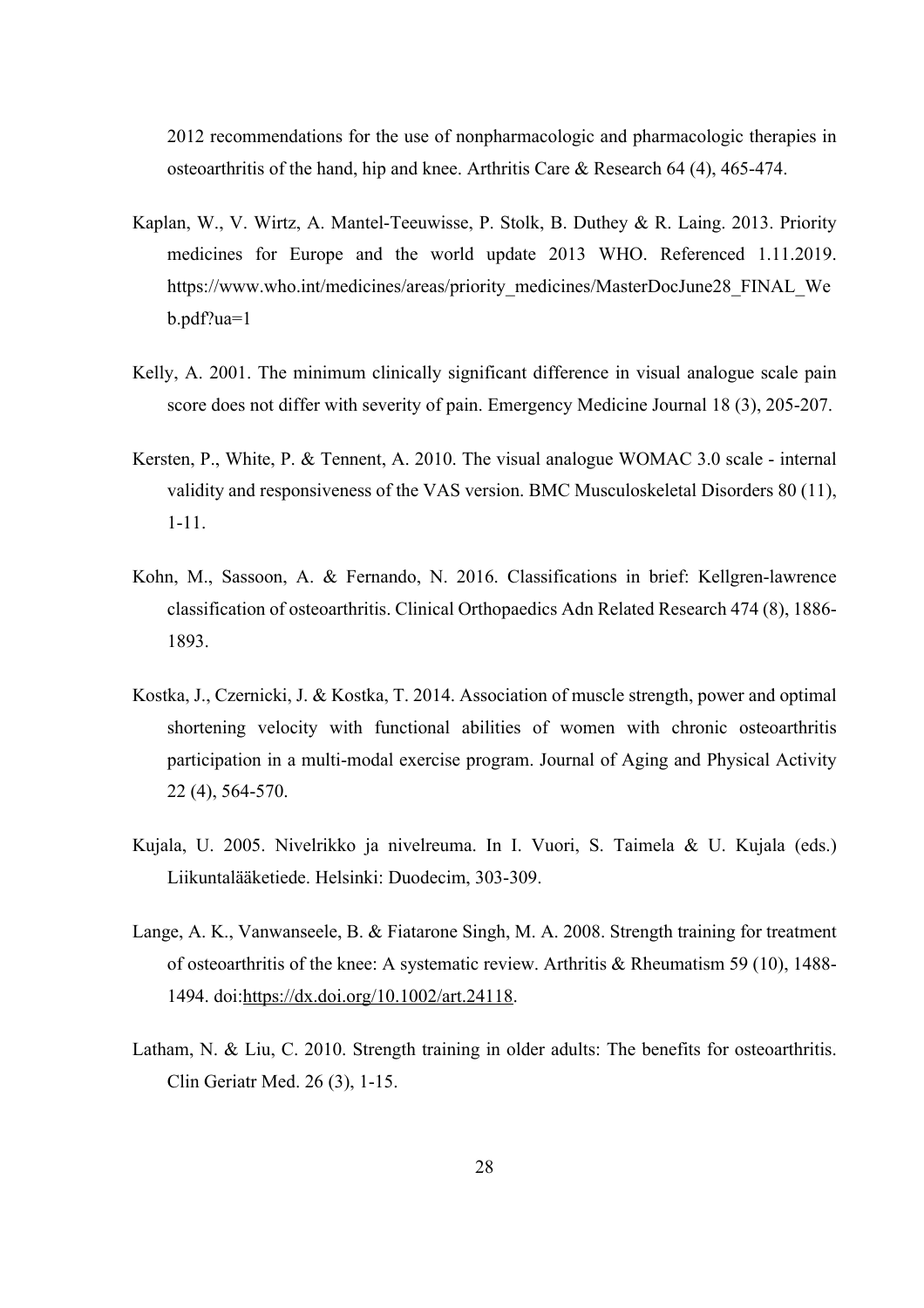2012 recommendations for the use of nonpharmacologic and pharmacologic therapies in osteoarthritis of the hand, hip and knee. Arthritis Care & Research 64 (4), 465-474.

- Kaplan, W., V. Wirtz, A. Mantel-Teeuwisse, P. Stolk, B. Duthey & R. Laing. 2013. Priority medicines for Europe and the world update 2013 WHO. Referenced 1.11.2019. https://www.who.int/medicines/areas/priority\_medicines/MasterDocJune28\_FINAL\_We b.pdf?ua=1
- Kelly, A. 2001. The minimum clinically significant difference in visual analogue scale pain score does not differ with severity of pain. Emergency Medicine Journal 18 (3), 205-207.
- Kersten, P., White, P. & Tennent, A. 2010. The visual analogue WOMAC 3.0 scale internal validity and responsiveness of the VAS version. BMC Musculoskeletal Disorders 80 (11), 1-11.
- Kohn, M., Sassoon, A. & Fernando, N. 2016. Classifications in brief: Kellgren-lawrence classification of osteoarthritis. Clinical Orthopaedics Adn Related Research 474 (8), 1886- 1893.
- Kostka, J., Czernicki, J. & Kostka, T. 2014. Association of muscle strength, power and optimal shortening velocity with functional abilities of women with chronic osteoarthritis participation in a multi-modal exercise program. Journal of Aging and Physical Activity 22 (4), 564-570.
- Kujala, U. 2005. Nivelrikko ja nivelreuma. In I. Vuori, S. Taimela & U. Kujala (eds.) Liikuntalääketiede. Helsinki: Duodecim, 303-309.
- Lange, A. K., Vanwanseele, B. & Fiatarone Singh, M. A. 2008. Strength training for treatment of osteoarthritis of the knee: A systematic review. Arthritis & Rheumatism 59 (10), 1488- 1494. doi:https://dx.doi.org/10.1002/art.24118.
- Latham, N. & Liu, C. 2010. Strength training in older adults: The benefits for osteoarthritis. Clin Geriatr Med. 26 (3), 1-15.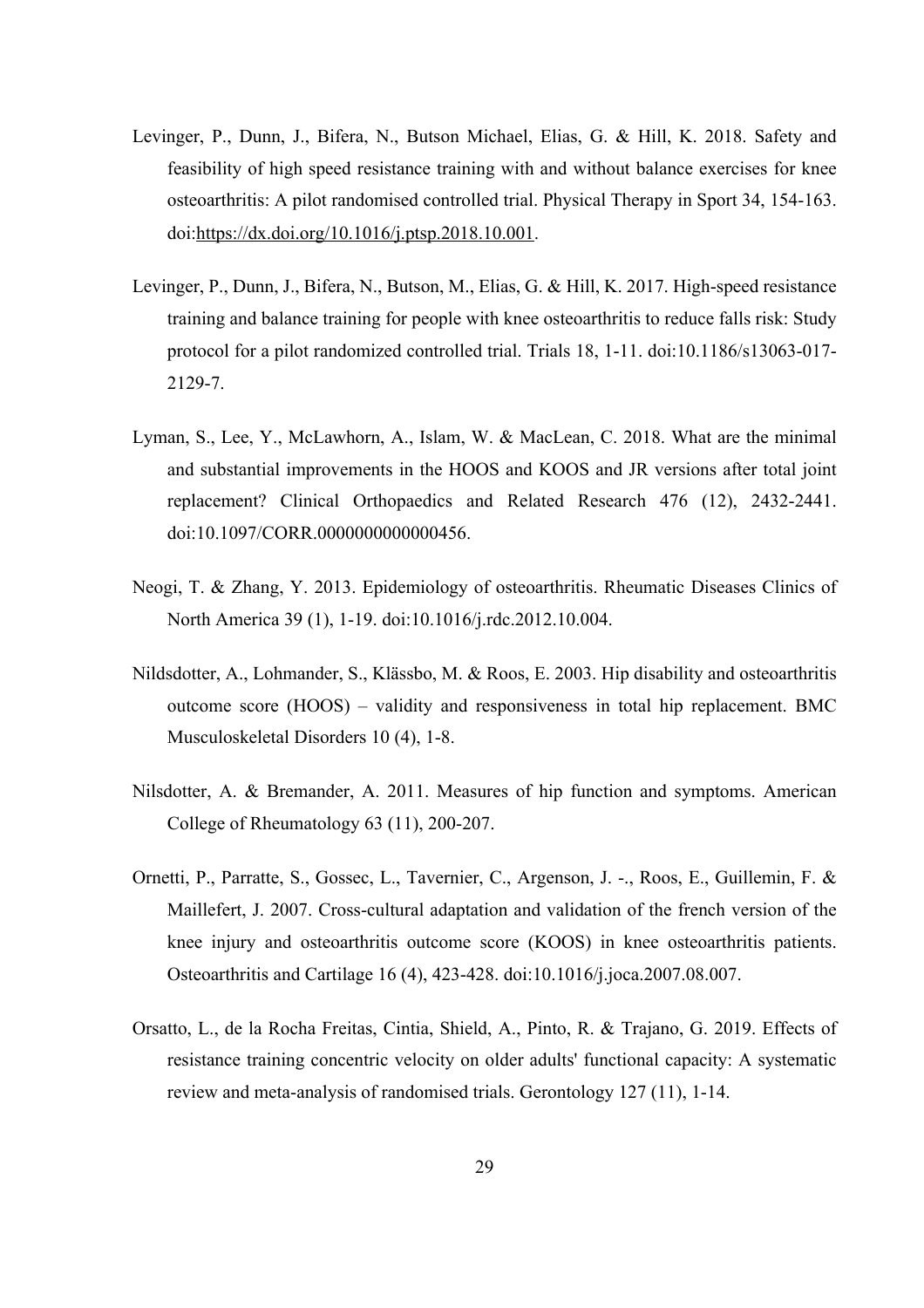- Levinger, P., Dunn, J., Bifera, N., Butson Michael, Elias, G. & Hill, K. 2018. Safety and feasibility of high speed resistance training with and without balance exercises for knee osteoarthritis: A pilot randomised controlled trial. Physical Therapy in Sport 34, 154-163. doi:https://dx.doi.org/10.1016/j.ptsp.2018.10.001.
- Levinger, P., Dunn, J., Bifera, N., Butson, M., Elias, G. & Hill, K. 2017. High-speed resistance training and balance training for people with knee osteoarthritis to reduce falls risk: Study protocol for a pilot randomized controlled trial. Trials 18, 1-11. doi:10.1186/s13063-017- 2129-7.
- Lyman, S., Lee, Y., McLawhorn, A., Islam, W. & MacLean, C. 2018. What are the minimal and substantial improvements in the HOOS and KOOS and JR versions after total joint replacement? Clinical Orthopaedics and Related Research 476 (12), 2432-2441. doi:10.1097/CORR.0000000000000456.
- Neogi, T. & Zhang, Y. 2013. Epidemiology of osteoarthritis. Rheumatic Diseases Clinics of North America 39 (1), 1-19. doi:10.1016/j.rdc.2012.10.004.
- Nildsdotter, A., Lohmander, S., Klässbo, M. & Roos, E. 2003. Hip disability and osteoarthritis outcome score (HOOS) – validity and responsiveness in total hip replacement. BMC Musculoskeletal Disorders 10 (4), 1-8.
- Nilsdotter, A. & Bremander, A. 2011. Measures of hip function and symptoms. American College of Rheumatology 63 (11), 200-207.
- Ornetti, P., Parratte, S., Gossec, L., Tavernier, C., Argenson, J. -., Roos, E., Guillemin, F. & Maillefert, J. 2007. Cross-cultural adaptation and validation of the french version of the knee injury and osteoarthritis outcome score (KOOS) in knee osteoarthritis patients. Osteoarthritis and Cartilage 16 (4), 423-428. doi:10.1016/j.joca.2007.08.007.
- Orsatto, L., de la Rocha Freitas, Cintia, Shield, A., Pinto, R. & Trajano, G. 2019. Effects of resistance training concentric velocity on older adults' functional capacity: A systematic review and meta-analysis of randomised trials. Gerontology 127 (11), 1-14.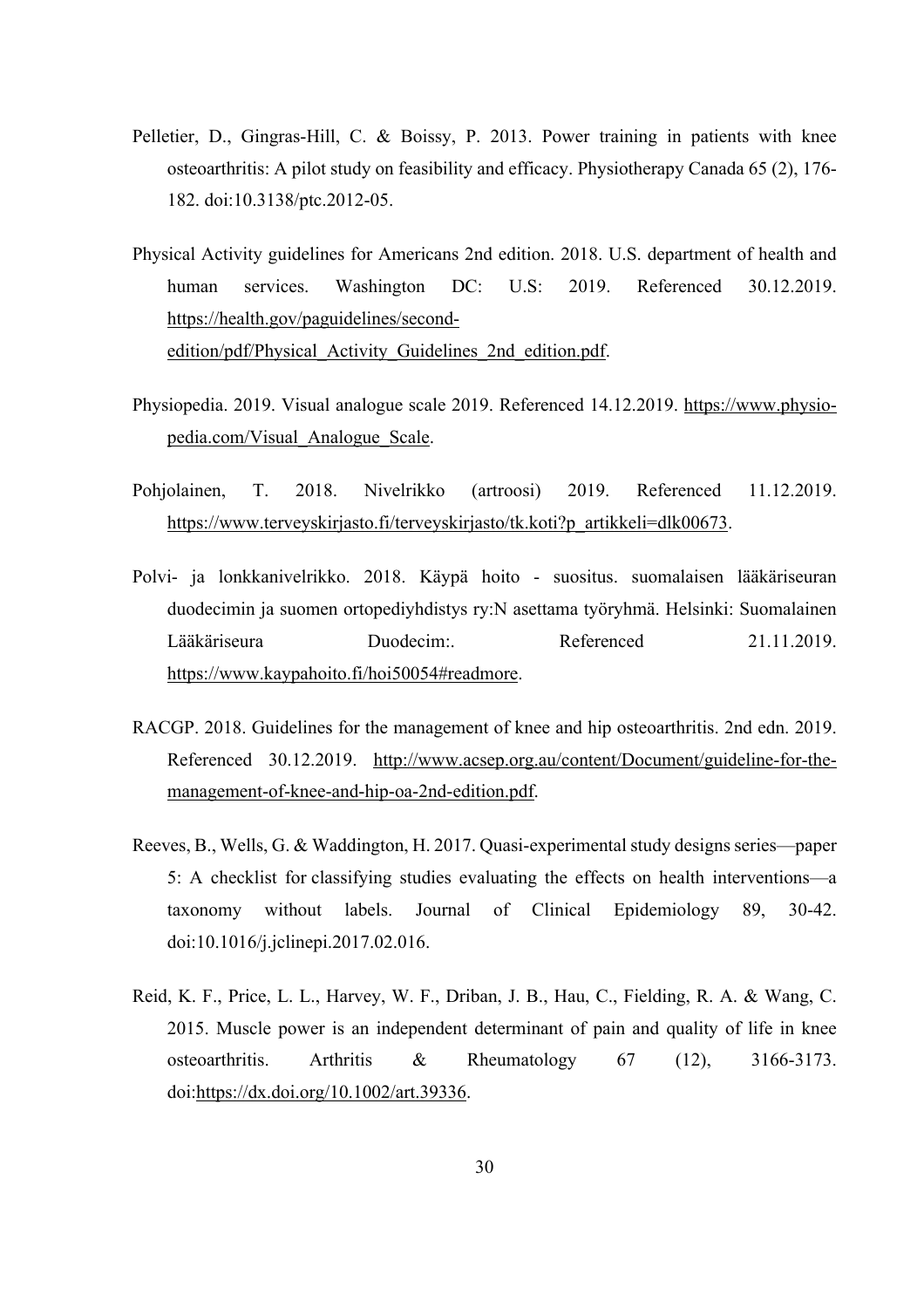- Pelletier, D., Gingras-Hill, C. & Boissy, P. 2013. Power training in patients with knee osteoarthritis: A pilot study on feasibility and efficacy. Physiotherapy Canada 65 (2), 176- 182. doi:10.3138/ptc.2012-05.
- Physical Activity guidelines for Americans 2nd edition. 2018. U.S. department of health and human services. Washington DC: U.S: 2019. Referenced 30.12.2019. https://health.gov/paguidelines/secondedition/pdf/Physical\_Activity\_Guidelines\_2nd\_edition.pdf.
- Physiopedia. 2019. Visual analogue scale 2019. Referenced 14.12.2019. https://www.physiopedia.com/Visual\_Analogue\_Scale.
- Pohjolainen, T. 2018. Nivelrikko (artroosi) 2019. Referenced 11.12.2019. https://www.terveyskirjasto.fi/terveyskirjasto/tk.koti?p\_artikkeli=dlk00673.
- Polvi- ja lonkkanivelrikko. 2018. Käypä hoito suositus. suomalaisen lääkäriseuran duodecimin ja suomen ortopediyhdistys ry:N asettama työryhmä. Helsinki: Suomalainen Lääkäriseura Duodecim:. Referenced 21.11.2019. https://www.kaypahoito.fi/hoi50054#readmore.
- RACGP. 2018. Guidelines for the management of knee and hip osteoarthritis. 2nd edn. 2019. Referenced 30.12.2019. http://www.acsep.org.au/content/Document/guideline-for-themanagement-of-knee-and-hip-oa-2nd-edition.pdf.
- Reeves, B., Wells, G. & Waddington, H. 2017. Quasi-experimental study designs series—paper 5: A checklist for classifying studies evaluating the effects on health interventions—a taxonomy without labels. Journal of Clinical Epidemiology 89, 30-42. doi:10.1016/j.jclinepi.2017.02.016.
- Reid, K. F., Price, L. L., Harvey, W. F., Driban, J. B., Hau, C., Fielding, R. A. & Wang, C. 2015. Muscle power is an independent determinant of pain and quality of life in knee osteoarthritis. Arthritis & Rheumatology 67 (12), 3166-3173. doi:https://dx.doi.org/10.1002/art.39336.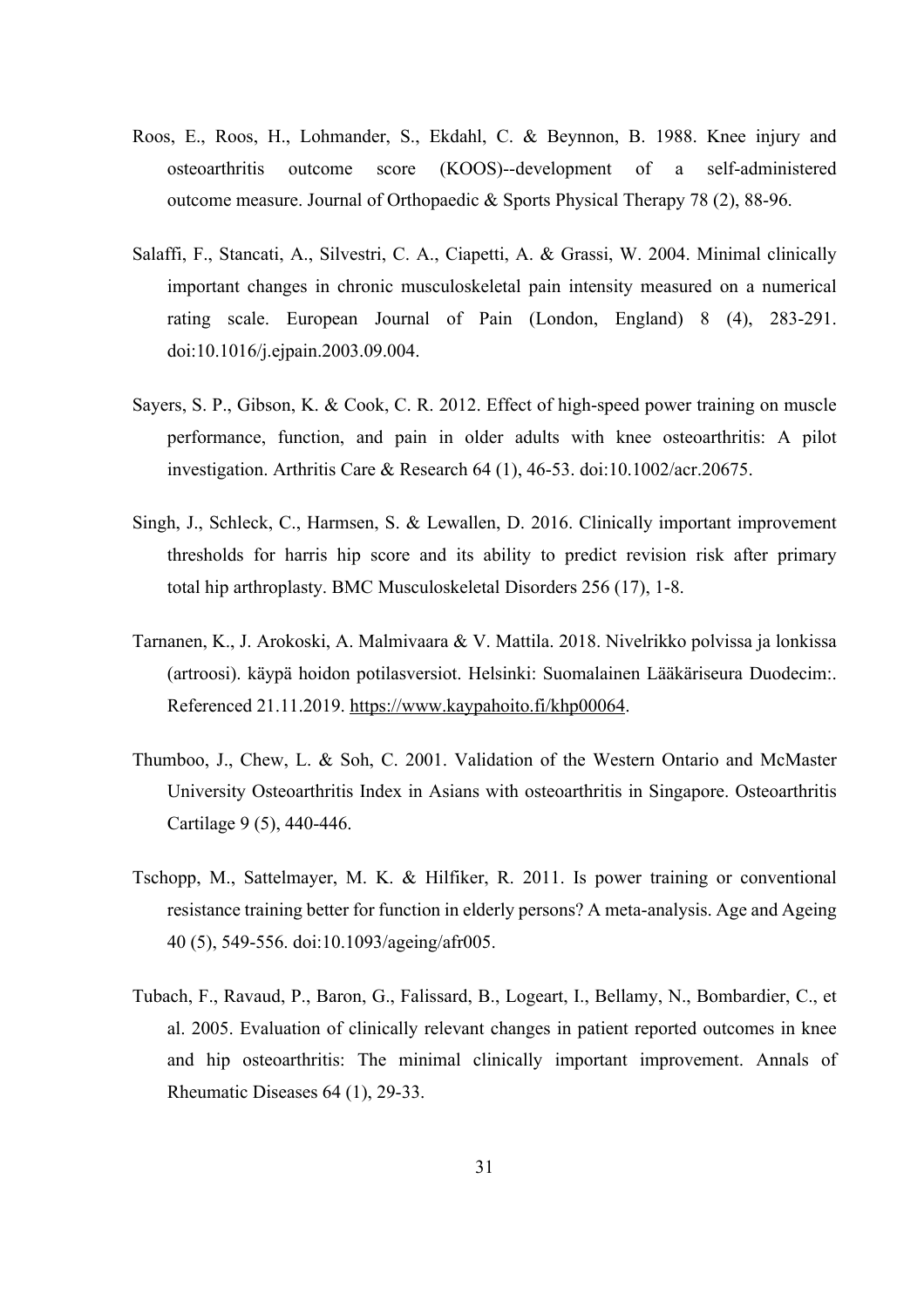- Roos, E., Roos, H., Lohmander, S., Ekdahl, C. & Beynnon, B. 1988. Knee injury and osteoarthritis outcome score (KOOS)--development of a self-administered outcome measure. Journal of Orthopaedic & Sports Physical Therapy 78 (2), 88-96.
- Salaffi, F., Stancati, A., Silvestri, C. A., Ciapetti, A. & Grassi, W. 2004. Minimal clinically important changes in chronic musculoskeletal pain intensity measured on a numerical rating scale. European Journal of Pain (London, England) 8 (4), 283-291. doi:10.1016/j.ejpain.2003.09.004.
- Sayers, S. P., Gibson, K. & Cook, C. R. 2012. Effect of high-speed power training on muscle performance, function, and pain in older adults with knee osteoarthritis: A pilot investigation. Arthritis Care & Research 64 (1), 46-53. doi:10.1002/acr.20675.
- Singh, J., Schleck, C., Harmsen, S. & Lewallen, D. 2016. Clinically important improvement thresholds for harris hip score and its ability to predict revision risk after primary total hip arthroplasty. BMC Musculoskeletal Disorders 256 (17), 1-8.
- Tarnanen, K., J. Arokoski, A. Malmivaara & V. Mattila. 2018. Nivelrikko polvissa ja lonkissa (artroosi). käypä hoidon potilasversiot. Helsinki: Suomalainen Lääkäriseura Duodecim:. Referenced 21.11.2019. https://www.kaypahoito.fi/khp00064.
- Thumboo, J., Chew, L. & Soh, C. 2001. Validation of the Western Ontario and McMaster University Osteoarthritis Index in Asians with osteoarthritis in Singapore. Osteoarthritis Cartilage 9 (5), 440-446.
- Tschopp, M., Sattelmayer, M. K. & Hilfiker, R. 2011. Is power training or conventional resistance training better for function in elderly persons? A meta-analysis. Age and Ageing 40 (5), 549-556. doi:10.1093/ageing/afr005.
- Tubach, F., Ravaud, P., Baron, G., Falissard, B., Logeart, I., Bellamy, N., Bombardier, C., et al. 2005. Evaluation of clinically relevant changes in patient reported outcomes in knee and hip osteoarthritis: The minimal clinically important improvement. Annals of Rheumatic Diseases 64 (1), 29-33.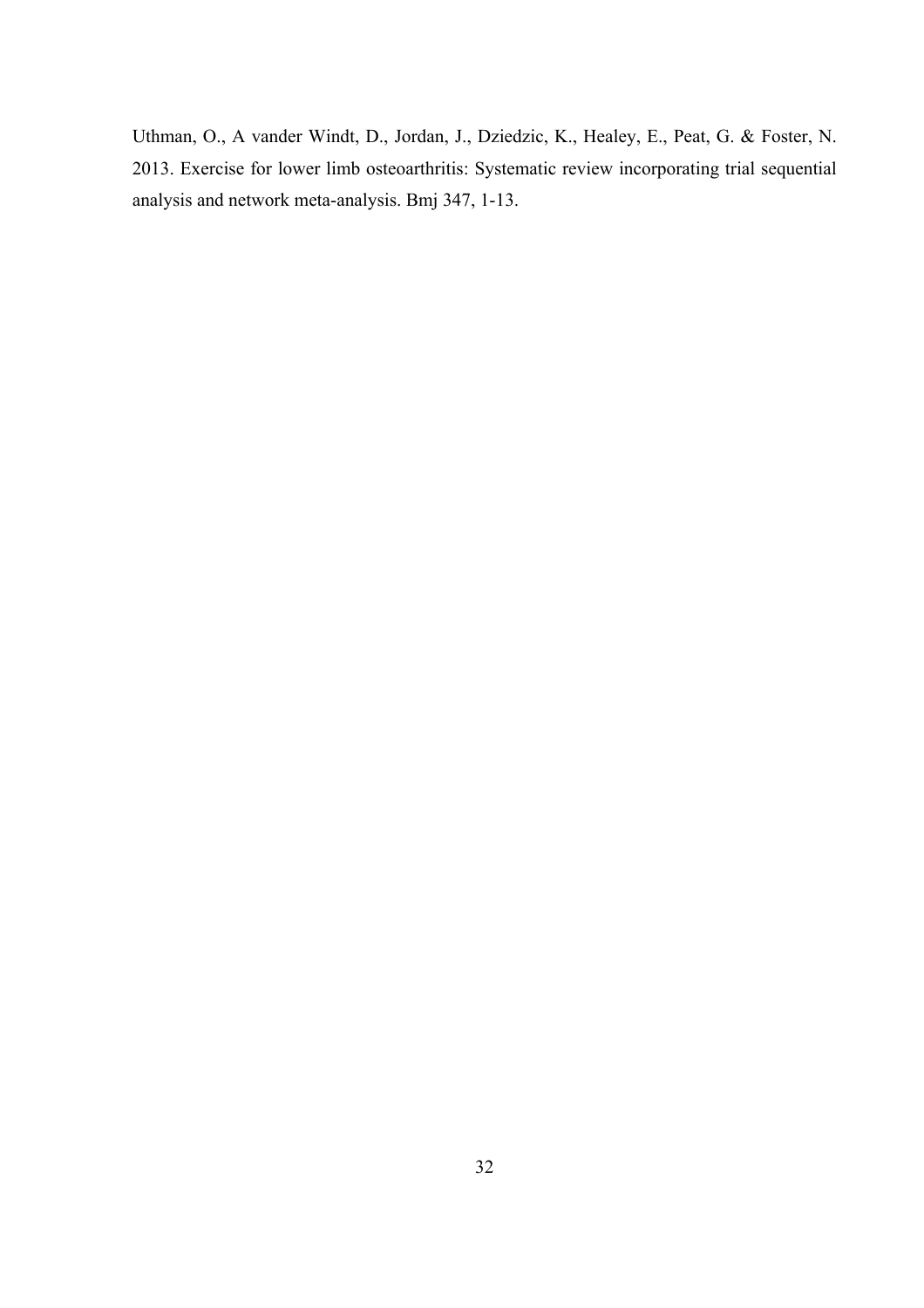Uthman, O., A vander Windt, D., Jordan, J., Dziedzic, K., Healey, E., Peat, G. & Foster, N. 2013. Exercise for lower limb osteoarthritis: Systematic review incorporating trial sequential analysis and network meta-analysis. Bmj 347, 1-13.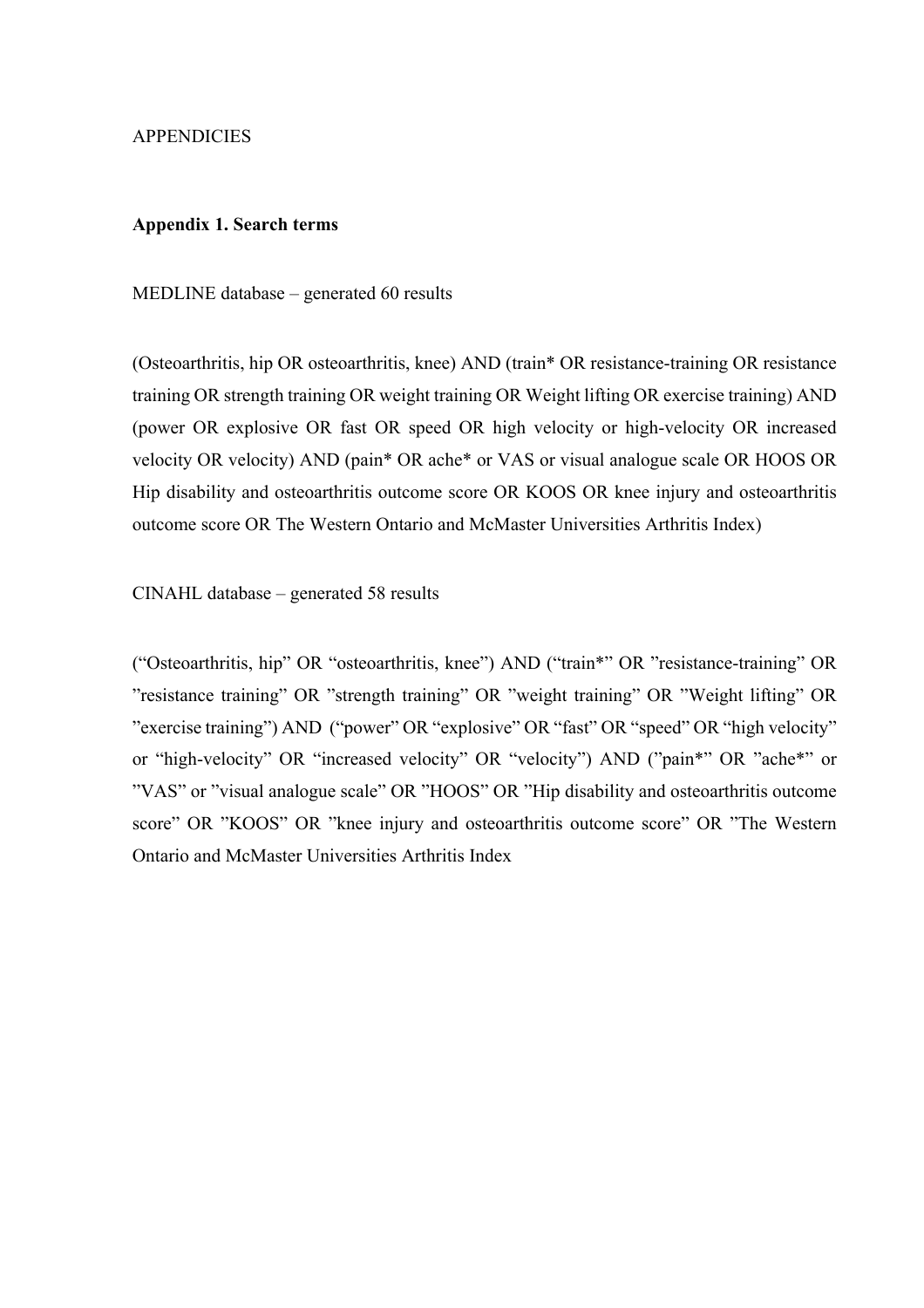### **APPENDICIES**

### **Appendix 1. Search terms**

MEDLINE database – generated 60 results

(Osteoarthritis, hip OR osteoarthritis, knee) AND (train\* OR resistance-training OR resistance training OR strength training OR weight training OR Weight lifting OR exercise training) AND (power OR explosive OR fast OR speed OR high velocity or high-velocity OR increased velocity OR velocity) AND (pain\* OR ache\* or VAS or visual analogue scale OR HOOS OR Hip disability and osteoarthritis outcome score OR KOOS OR knee injury and osteoarthritis outcome score OR The Western Ontario and McMaster Universities Arthritis Index)

CINAHL database – generated 58 results

("Osteoarthritis, hip" OR "osteoarthritis, knee") AND ("train\*" OR "resistance-training" OR "resistance training" OR "strength training" OR "weight training" OR "Weight lifting" OR "exercise training") AND ("power" OR "explosive" OR "fast" OR "speed" OR "high velocity" or "high-velocity" OR "increased velocity" OR "velocity") AND ("pain\*" OR "ache\*" or "VAS" or "visual analogue scale" OR "HOOS" OR "Hip disability and osteoarthritis outcome score" OR "KOOS" OR "knee injury and osteoarthritis outcome score" OR "The Western Ontario and McMaster Universities Arthritis Index